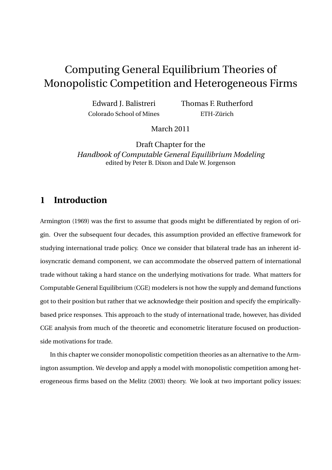# Computing General Equilibrium Theories of Monopolistic Competition and Heterogeneous Firms

Edward J. Balistreri Colorado School of Mines Thomas F. Rutherford ETH-Zürich

March 2011

Draft Chapter for the *Handbook of Computable General Equilibrium Modeling* edited by Peter B. Dixon and Dale W. Jorgenson

### **1 Introduction**

Armington (1969) was the first to assume that goods might be differentiated by region of origin. Over the subsequent four decades, this assumption provided an effective framework for studying international trade policy. Once we consider that bilateral trade has an inherent idiosyncratic demand component, we can accommodate the observed pattern of international trade without taking a hard stance on the underlying motivations for trade. What matters for Computable General Equilibrium (CGE) modelers is not how the supply and demand functions got to their position but rather that we acknowledge their position and specify the empiricallybased price responses. This approach to the study of international trade, however, has divided CGE analysis from much of the theoretic and econometric literature focused on productionside motivations for trade.

In this chapter we consider monopolistic competition theories as an alternative to the Armington assumption. We develop and apply a model with monopolistic competition among heterogeneous firms based on the Melitz (2003) theory. We look at two important policy issues: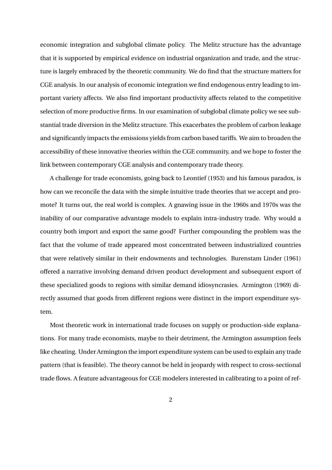economic integration and subglobal climate policy. The Melitz structure has the advantage that it is supported by empirical evidence on industrial organization and trade, and the structure is largely embraced by the theoretic community. We do find that the structure matters for CGE analysis. In our analysis of economic integration we find endogenous entry leading to important variety affects. We also find important productivity affects related to the competitive selection of more productive firms. In our examination of subglobal climate policy we see substantial trade diversion in the Melitz structure. This exacerbates the problem of carbon leakage and significantly impacts the emissions yields from carbon based tariffs. We aim to broaden the accessibility of these innovative theories within the CGE community, and we hope to foster the link between contemporary CGE analysis and contemporary trade theory.

A challenge for trade economists, going back to Leontief (1953) and his famous paradox, is how can we reconcile the data with the simple intuitive trade theories that we accept and promote? It turns out, the real world is complex. A gnawing issue in the 1960s and 1970s was the inability of our comparative advantage models to explain intra-industry trade. Why would a country both import and export the same good? Further compounding the problem was the fact that the volume of trade appeared most concentrated between industrialized countries that were relatively similar in their endowments and technologies. Burenstam Linder (1961) offered a narrative involving demand driven product development and subsequent export of these specialized goods to regions with similar demand idiosyncrasies. Armington (1969) directly assumed that goods from different regions were distinct in the import expenditure system.

Most theoretic work in international trade focuses on supply or production-side explanations. For many trade economists, maybe to their detriment, the Armington assumption feels like cheating. Under Armington the import expenditure system can be used to explain any trade pattern (that is feasible). The theory cannot be held in jeopardy with respect to cross-sectional trade flows. A feature advantageous for CGE modelers interested in calibrating to a point of ref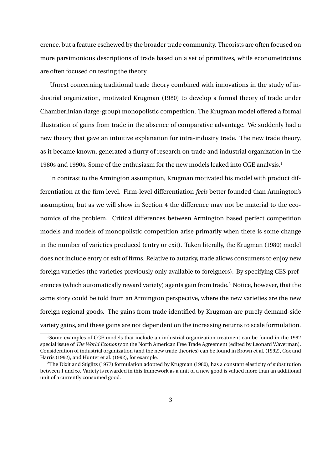erence, but a feature eschewed by the broader trade community. Theorists are often focused on more parsimonious descriptions of trade based on a set of primitives, while econometricians are often focused on testing the theory.

Unrest concerning traditional trade theory combined with innovations in the study of industrial organization, motivated Krugman (1980) to develop a formal theory of trade under Chamberlinian (large-group) monopolistic competition. The Krugman model offered a formal illustration of gains from trade in the absence of comparative advantage. We suddenly had a new theory that gave an intuitive explanation for intra-industry trade. The new trade theory, as it became known, generated a flurry of research on trade and industrial organization in the 1980s and 1990s. Some of the enthusiasm for the new models leaked into CGE analysis.<sup>1</sup>

In contrast to the Armington assumption, Krugman motivated his model with product differentiation at the firm level. Firm-level differentiation *feels* better founded than Armington's assumption, but as we will show in Section 4 the difference may not be material to the economics of the problem. Critical differences between Armington based perfect competition models and models of monopolistic competition arise primarily when there is some change in the number of varieties produced (entry or exit). Taken literally, the Krugman (1980) model does not include entry or exit of firms. Relative to autarky, trade allows consumers to enjoy new foreign varieties (the varieties previously only available to foreigners). By specifying CES preferences (which automatically reward variety) agents gain from trade.<sup>2</sup> Notice, however, that the same story could be told from an Armington perspective, where the new varieties are the new foreign regional goods. The gains from trade identified by Krugman are purely demand-side variety gains, and these gains are not dependent on the increasing returns to scale formulation.

<sup>1</sup>Some examples of CGE models that include an industrial organization treatment can be found in the 1992 special issue of *The World Economy* on the North American Free Trade Agreement (edited by Leonard Waverman). Consideration of industrial organization (and the new trade theories) can be found in Brown et al. (1992), Cox and Harris (1992), and Hunter et al. (1992), for example.

<sup>2</sup>The Dixit and Stiglitz (1977) formulation adopted by Krugman (1980), has a constant elasticity of substitution between 1 and *∞*. Variety is rewarded in this framework as a unit of a new good is valued more than an additional unit of a currently consumed good.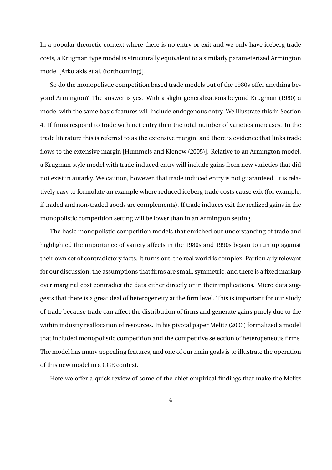In a popular theoretic context where there is no entry or exit and we only have iceberg trade costs, a Krugman type model is structurally equivalent to a similarly parameterized Armington model [Arkolakis et al. (forthcoming)].

So do the monopolistic competition based trade models out of the 1980s offer anything beyond Armington? The answer is yes. With a slight generalizations beyond Krugman (1980) a model with the same basic features will include endogenous entry. We illustrate this in Section 4. If firms respond to trade with net entry then the total number of varieties increases. In the trade literature this is referred to as the extensive margin, and there is evidence that links trade flows to the extensive margin [Hummels and Klenow (2005)]. Relative to an Armington model, a Krugman style model with trade induced entry will include gains from new varieties that did not exist in autarky. We caution, however, that trade induced entry is not guaranteed. It is relatively easy to formulate an example where reduced iceberg trade costs cause exit (for example, if traded and non-traded goods are complements). If trade induces exit the realized gains in the monopolistic competition setting will be lower than in an Armington setting.

The basic monopolistic competition models that enriched our understanding of trade and highlighted the importance of variety affects in the 1980s and 1990s began to run up against their own set of contradictory facts. It turns out, the real world is complex. Particularly relevant for our discussion, the assumptions that firms are small, symmetric, and there is a fixed markup over marginal cost contradict the data either directly or in their implications. Micro data suggests that there is a great deal of heterogeneity at the firm level. This is important for our study of trade because trade can affect the distribution of firms and generate gains purely due to the within industry reallocation of resources. In his pivotal paper Melitz (2003) formalized a model that included monopolistic competition and the competitive selection of heterogeneous firms. The model has many appealing features, and one of our main goals is to illustrate the operation of this new model in a CGE context.

Here we offer a quick review of some of the chief empirical findings that make the Melitz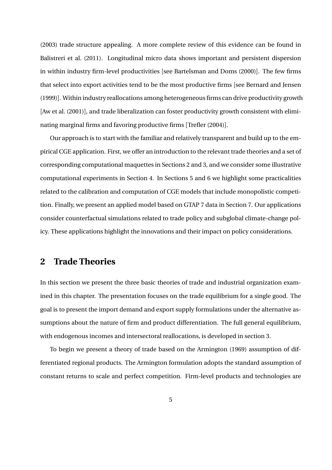(2003) trade structure appealing. A more complete review of this evidence can be found in Balistreri et al. (2011). Longitudinal micro data shows important and persistent dispersion in within industry firm-level productivities [see Bartelsman and Doms (2000)]. The few firms that select into export activities tend to be the most productive firms [see Bernard and Jensen (1999)]. Within industry reallocations among heterogeneous firms can drive productivity growth [Aw et al. (2001)], and trade liberalization can foster productivity growth consistent with eliminating marginal firms and favoring productive firms [Trefler (2004)].

Our approach is to start with the familiar and relatively transparent and build up to the empirical CGE application. First, we offer an introduction to the relevant trade theories and a set of corresponding computational maquettes in Sections 2 and 3, and we consider some illustrative computational experiments in Section 4. In Sections 5 and 6 we highlight some practicalities related to the calibration and computation of CGE models that include monopolistic competition. Finally, we present an applied model based on GTAP 7 data in Section 7. Our applications consider counterfactual simulations related to trade policy and subglobal climate-change policy. These applications highlight the innovations and their impact on policy considerations.

### **2 Trade Theories**

In this section we present the three basic theories of trade and industrial organization examined in this chapter. The presentation focuses on the trade equilibrium for a single good. The goal is to present the import demand and export supply formulations under the alternative assumptions about the nature of firm and product differentiation. The full general equilibrium, with endogenous incomes and intersectoral reallocations, is developed in section 3.

To begin we present a theory of trade based on the Armington (1969) assumption of differentiated regional products. The Armington formulation adopts the standard assumption of constant returns to scale and perfect competition. Firm-level products and technologies are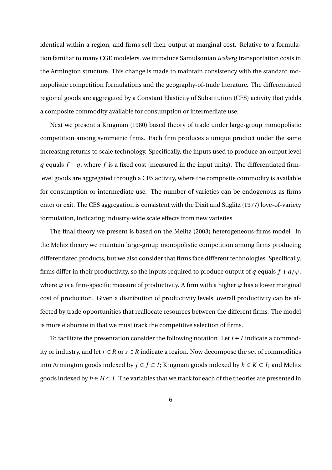identical within a region, and firms sell their output at marginal cost. Relative to a formulation familiar to many CGE modelers, we introduce Samulsonian *iceberg* transportation costs in the Armington structure. This change is made to maintain consistency with the standard monopolistic competition formulations and the geography-of-trade literature. The differentiated regional goods are aggregated by a Constant Elasticity of Substitution (CES) activity that yields a composite commodity available for consumption or intermediate use.

Next we present a Krugman (1980) based theory of trade under large-group monopolistic competition among symmetric firms. Each firm produces a unique product under the same increasing returns to scale technology. Specifically, the inputs used to produce an output level *q* equals  $f + q$ , where *f* is a fixed cost (measured in the input units). The differentiated firmlevel goods are aggregated through a CES activity, where the composite commodity is available for consumption or intermediate use. The number of varieties can be endogenous as firms enter or exit. The CES aggregation is consistent with the Dixit and Stiglitz (1977) love-of-variety formulation, indicating industry-wide scale effects from new varieties.

The final theory we present is based on the Melitz (2003) heterogeneous-firms model. In the Melitz theory we maintain large-group monopolistic competition among firms producing differentiated products, but we also consider that firms face different technologies. Specifically, firms differ in their productivity, so the inputs required to produce output of *q* equals  $f + q/\varphi$ , where  $\varphi$  is a firm-specific measure of productivity. A firm with a higher  $\varphi$  has a lower marginal cost of production. Given a distribution of productivity levels, overall productivity can be affected by trade opportunities that reallocate resources between the different firms. The model is more elaborate in that we must track the competitive selection of firms.

To facilitate the presentation consider the following notation. Let *i ∈ I* indicate a commodity or industry, and let *r* ∈ *R* or  $s$  ∈ *R* indicate a region. Now decompose the set of commodities into Armington goods indexed by *j ∈ J ⊂ I*; Krugman goods indexed by *k ∈ K ⊂ I*; and Melitz goods indexed by  $h \in H \subset I$ . The variables that we track for each of the theories are presented in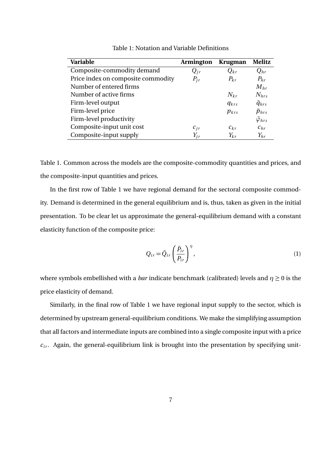| Variable                           | <b>Armington</b> | <b>Krugman</b> | <b>Melitz</b>           |
|------------------------------------|------------------|----------------|-------------------------|
| Composite-commodity demand         | $Q_{ir}$         | $Q_{kr}$       | $Q_{hr}$                |
| Price index on composite commodity | $P_{ir}$         | $P_{kr}$       | $P_{hr}$                |
| Number of entered firms            |                  |                | $M_{hr}$                |
| Number of active firms             |                  | $N_{kr}$       | $N_{hrs}$               |
| Firm-level output                  |                  | $q_{krs}$      | $\tilde{q}_{hrs}$       |
| Firm-level price                   |                  | $p_{krs}$      | $\tilde{p}_{hrs}$       |
| Firm-level productivity            |                  |                | $\tilde{\varphi}_{hrs}$ |
| Composite-input unit cost          | $c_{ir}$         | $c_{kr}$       | $c_{hr}$                |
| Composite-input supply             | $Y_{ir}$         | $Y_{kr}$       | $Y_{hr}$                |

Table 1: Notation and Variable Definitions

Table 1. Common across the models are the composite-commodity quantities and prices, and the composite-input quantities and prices.

In the first row of Table 1 we have regional demand for the sectoral composite commodity. Demand is determined in the general equilibrium and is, thus, taken as given in the initial presentation. To be clear let us approximate the general-equilibrium demand with a constant elasticity function of the composite price:

$$
Q_{ir} = \bar{Q}_{ir} \left(\frac{\bar{P}_{ir}}{P_{ir}}\right)^{\eta},\tag{1}
$$

where symbols embellished with a *bar* indicate benchmark (calibrated) levels and  $\eta \geq 0$  is the price elasticity of demand.

Similarly, in the final row of Table 1 we have regional input supply to the sector, which is determined by upstream general-equilibrium conditions. We make the simplifying assumption that all factors and intermediate inputs are combined into a single composite input with a price  $c_{ir}$ . Again, the general-equilibrium link is brought into the presentation by specifying unit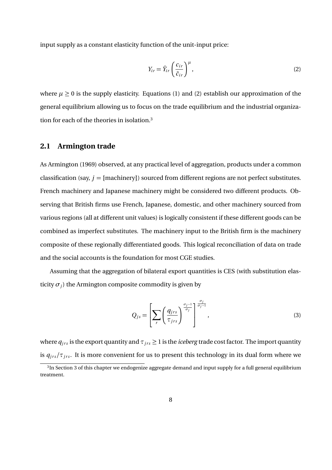input supply as a constant elasticity function of the unit-input price:

$$
Y_{ir} = \bar{Y}_{ir} \left(\frac{c_{ir}}{\bar{c}_{ir}}\right)^{\mu},\tag{2}
$$

where  $\mu \geq 0$  is the supply elasticity. Equations (1) and (2) establish our approximation of the general equilibrium allowing us to focus on the trade equilibrium and the industrial organization for each of the theories in isolation.<sup>3</sup>

### **2.1 Armington trade**

As Armington (1969) observed, at any practical level of aggregation, products under a common classification (say,  $j =$  {machinery}) sourced from different regions are not perfect substitutes. French machinery and Japanese machinery might be considered two different products. Observing that British firms use French, Japanese, domestic, and other machinery sourced from various regions (all at different unit values) is logically consistent if these different goods can be combined as imperfect substitutes. The machinery input to the British firm is the machinery composite of these regionally differentiated goods. This logical reconciliation of data on trade and the social accounts is the foundation for most CGE studies.

Assuming that the aggregation of bilateral export quantities is CES (with substitution elasticity  $\sigma_i$ ) the Armington composite commodity is given by

$$
Q_{js} = \left[ \sum_{r} \left( \frac{q_{jrs}}{\tau_{jrs}} \right)^{\frac{\sigma_{j-1}}{\sigma_j}} \right]^{\frac{\sigma_j}{\sigma_{j-1}}},\tag{3}
$$

where  $q_{jrs}$  is the export quantity and  $\tau_{jrs} \geq 1$  is the *iceberg* trade cost factor. The import quantity is  $q_{jrs}/\tau_{jrs}$ . It is more convenient for us to present this technology in its dual form where we

 ${}^{3}{\rm In}$  Section 3 of this chapter we endogenize aggregate demand and input supply for a full general equilibrium treatment.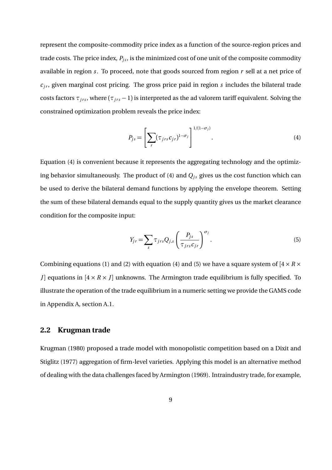represent the composite-commodity price index as a function of the source-region prices and trade costs. The price index,  $P_{is}$ , is the minimized cost of one unit of the composite commodity available in region *s*. To proceed, note that goods sourced from region *r* sell at a net price of  $c_{ir}$ , given marginal cost pricing. The gross price paid in region  $s$  includes the bilateral trade costs factors  $\tau_{jrs}$ , where ( $\tau_{jrs}$  – 1) is interpreted as the ad valorem tariff equivalent. Solving the constrained optimization problem reveals the price index:

$$
P_{js} = \left[\sum_{r} (\tau_{jrs} c_{jr})^{1-\sigma_j}\right]^{1/(1-\sigma_j)}.
$$
\n(4)

Equation (4) is convenient because it represents the aggregating technology and the optimizing behavior simultaneously. The product of  $(4)$  and  $Q<sub>js</sub>$  gives us the cost function which can be used to derive the bilateral demand functions by applying the envelope theorem. Setting the sum of these bilateral demands equal to the supply quantity gives us the market clearance condition for the composite input:

$$
Y_{jr} = \sum_{s} \tau_{jrs} Q_{j,s} \left( \frac{P_{js}}{\tau_{jrs} c_{jr}} \right)^{\sigma_j}.
$$
 (5)

Combining equations (1) and (2) with equation (4) and (5) we have a square system of  $[4 \times R \times$ *J*] equations in  $[4 \times R \times J]$  unknowns. The Armington trade equilibrium is fully specified. To illustrate the operation of the trade equilibrium in a numeric setting we provide the GAMS code in Appendix A, section A.1.

#### **2.2 Krugman trade**

Krugman (1980) proposed a trade model with monopolistic competition based on a Dixit and Stiglitz (1977) aggregation of firm-level varieties. Applying this model is an alternative method of dealing with the data challenges faced by Armington (1969). Intraindustry trade, for example,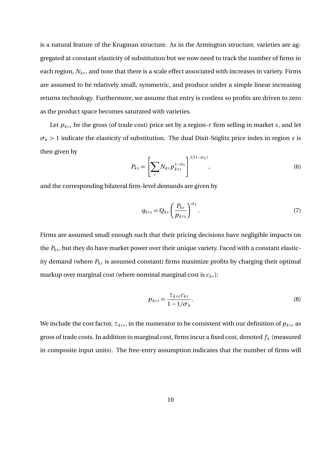is a natural feature of the Krugman structure. As in the Armington structure, varieties are aggregated at constant elasticity of substitution but we now need to track the number of firms in each region,  $N_{kr}$ , and note that there is a scale effect associated with increases in variety. Firms are assumed to be relatively small, symmetric, and produce under a simple linear increasing returns technology. Furthermore, we assume that entry is costless so profits are driven to zero as the product space becomes saturated with varieties.

Let  $p_{krs}$  be the gross (of trade cost) price set by a region- $r$  firm selling in market  $s$ , and let *σ<sup>k</sup> >* 1 indicate the elasticity of substitution. The dual Dixit-Stiglitz price index in region *s* is then given by

$$
P_{ks} = \left[\sum_r N_{kr} p_{krs}^{1-\sigma_k}\right]^{1/(1-\sigma_k)},\tag{6}
$$

and the corresponding bilateral firm-level demands are given by

$$
q_{krs} = Q_{ks} \left(\frac{P_{ks}}{p_{krs}}\right)^{\sigma_k}.
$$
 (7)

Firms are assumed small enough such that their pricing decisions have negligible impacts on the  $P_{ks}$ , but they do have market power over their unique variety. Faced with a constant elasticity demand (where  $P_{ks}$  is assumed constant) firms maximize profits by charging their optimal markup over marginal cost (where nominal marginal cost is  $c_{kr}$ ):

$$
p_{krs} = \frac{\tau_{krs} c_{kr}}{1 - 1/\sigma_k}.
$$
\n(8)

We include the cost factor,  $\tau_{krs}$ , in the numerator to be consistent with our definition of  $p_{krs}$  as gross of trade costs. In addition to marginal cost, firms incur a fixed cost, denoted *f <sup>k</sup>* (measured in composite input units). The free-entry assumption indicates that the number of firms will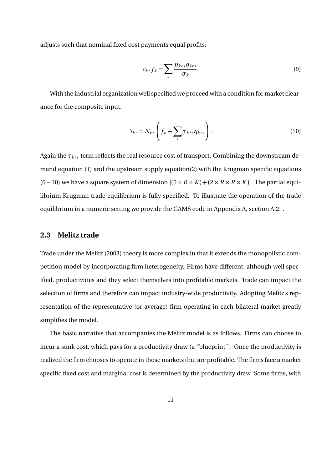adjusts such that nominal fixed cost payments equal profits:

$$
c_{kr}f_k = \sum_s \frac{p_{krs}q_{krs}}{\sigma_k}.
$$
\n(9)

With the industrial organization well specified we proceed with a condition for market clearance for the composite input.

$$
Y_{kr} = N_{kr} \left( f_k + \sum_s \tau_{krs} q_{krs} \right). \tag{10}
$$

Again the *τ<sub>krs</sub>* term reflects the real resource cost of transport. Combining the downstream demand equation (1) and the upstream supply equation(2) with the Krugman specific equations  $(6 - 10)$  we have a square system of dimension  $[(5 \times R \times K) + (2 \times R \times K)]$ . The partial equilibrium Krugman trade equilibrium is fully specified. To illustrate the operation of the trade equilibrium in a numeric setting we provide the GAMS code in Appendix A, section A.2. .

#### **2.3 Melitz trade**

Trade under the Melitz (2003) theory is more complex in that it extends the monopolistic competition model by incorporating firm heterogeneity. Firms have different, although well specified, productivities and they select themselves into profitable markets. Trade can impact the selection of firms and therefore can impact industry-wide productivity. Adopting Melitz's representation of the representative (or average) firm operating in each bilateral market greatly simplifies the model.

The basic narrative that accompanies the Melitz model is as follows. Firms can choose to incur a sunk cost, which pays for a productivity draw (a "blueprint"). Once the productivity is realized the firm chooses to operate in those markets that are profitable. The firms face a market specific fixed cost and marginal cost is determined by the productivity draw. Some firms, with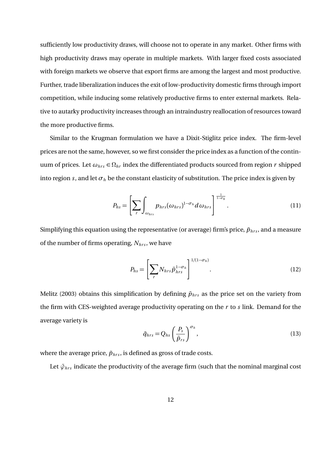sufficiently low productivity draws, will choose not to operate in any market. Other firms with high productivity draws may operate in multiple markets. With larger fixed costs associated with foreign markets we observe that export firms are among the largest and most productive. Further, trade liberalization induces the exit of low-productivity domestic firms through import competition, while inducing some relatively productive firms to enter external markets. Relative to autarky productivity increases through an intraindustry reallocation of resources toward the more productive firms.

Similar to the Krugman formulation we have a Dixit-Stiglitz price index. The firm-level prices are not the same, however, so we first consider the price index as a function of the continuum of prices. Let  $\omega_{hrs} \in \Omega_{hr}$  index the differentiated products sourced from region *r* shipped into region *s*, and let  $\sigma_h$  be the constant elasticity of substitution. The price index is given by

$$
P_{hs} = \left[ \sum_{r} \int_{\omega_{hrs}} p_{hrs} (\omega_{hrs})^{1-\sigma_h} d\omega_{hrs} \right]^{\frac{1}{1-\sigma_h}}.
$$
 (11)

Simplifying this equation using the representative (or average) firm's price,  $\tilde{p}_{hrs}$ , and a measure of the number of firms operating,  $N<sub>hrs</sub>$ , we have

$$
P_{hs} = \left[\sum_{r} N_{hrs} \tilde{p}_{hrs}^{1-\sigma_h}\right]^{1/(1-\sigma_h)}.\tag{12}
$$

Melitz (2003) obtains this simplification by defining  $\tilde{p}_{hrs}$  as the price set on the variety from the firm with CES-weighted average productivity operating on the *r* to *s* link. Demand for the average variety is

$$
\tilde{q}_{hrs} = Q_{hs} \left(\frac{P_s}{\tilde{p}_{rs}}\right)^{\sigma_h},\tag{13}
$$

where the average price,  $\tilde{p}_{hrs}$ , is defined as gross of trade costs.

Let  $\tilde{\varphi}_{hrs}$  indicate the productivity of the average firm (such that the nominal marginal cost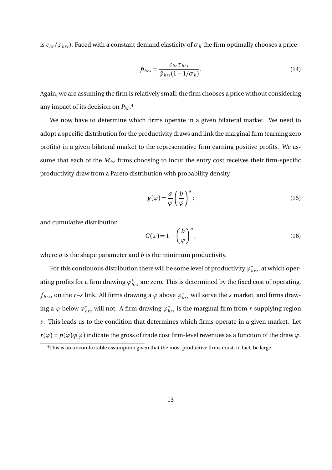is  $c_{hr}/\tilde{\varphi}_{hr}$ . Faced with a constant demand elasticity of  $\sigma_h$  the firm optimally chooses a price

$$
\tilde{p}_{hrs} = \frac{c_{hr}\tau_{hrs}}{\tilde{\varphi}_{hrs}(1 - 1/\sigma_h)}.
$$
\n(14)

Again, we are assuming the firm is relatively small; the firm chooses a price without considering any impact of its decision on *Phs* . 4

We now have to determine which firms operate in a given bilateral market. We need to adopt a specific distribution for the productivity draws and link the marginal firm (earning zero profits) in a given bilateral market to the representative firm earning positive profits. We assume that each of the *Mhr* firms choosing to incur the entry cost receives their firm-specific productivity draw from a Pareto distribution with probability density

$$
g(\varphi) = \frac{a}{\varphi} \left(\frac{b}{\varphi}\right)^a; \tag{15}
$$

and cumulative distribution

$$
G(\varphi) = 1 - \left(\frac{b}{\varphi}\right)^a,\tag{16}
$$

where *a* is the shape parameter and *b* is the minimum productivity.

For this continuous distribution there will be some level of productivity  $\varphi^*_{hrs}$ , at which operating profits for a firm drawing  $\varphi^*_{hrs}$  are zero. This is determined by the fixed cost of operating,  $f_{hrs}$ , on the *r*– $s$  link. All firms drawing a  $\varphi$  above  $\varphi^*_{hrs}$  will serve the  $s$  market, and firms drawing a  $\varphi$  below  $\varphi^*_{hrs}$  will not. A firm drawing  $\varphi^*_{hrs}$  is the marginal firm from  $r$  supplying region *s*. This leads us to the condition that determines which firms operate in a given market. Let  $r(\varphi) = p(\varphi)q(\varphi)$  indicate the gross of trade cost firm-level revenues as a function of the draw  $\varphi$ .

<sup>&</sup>lt;sup>4</sup>This is an uncomfortable assumption given that the most productive firms must, in fact, be large.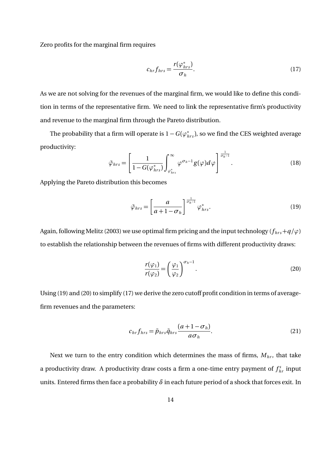Zero profits for the marginal firm requires

$$
c_{hr}f_{hrs} = \frac{r(\varphi_{hrs}^*)}{\sigma_h}.
$$
\n(17)

As we are not solving for the revenues of the marginal firm, we would like to define this condition in terms of the representative firm. We need to link the representative firm's productivity and revenue to the marginal firm through the Pareto distribution.

The probability that a firm will operate is  $1 - G(\varphi^*_{hrs})$ , so we find the CES weighted average productivity:

$$
\tilde{\varphi}_{hrs} = \left[\frac{1}{1 - G(\varphi_{hrs}^*)}\int_{\varphi_{hrs}^*}^{\infty} \varphi^{\sigma_h - 1}g(\varphi)d\varphi\right]^{\frac{1}{\sigma_h - 1}}.
$$
\n(18)

Applying the Pareto distribution this becomes

$$
\tilde{\varphi}_{hrs} = \left[\frac{a}{a+1-\sigma_h}\right]^{\frac{1}{\sigma_h-1}} \varphi_{hrs}^*.
$$
\n(19)

Again, following Melitz (2003) we use optimal firm pricing and the input technology ( $f_{hrs} + q/\varphi$ ) to establish the relationship between the revenues of firms with different productivity draws:

$$
\frac{r(\varphi_1)}{r(\varphi_2)} = \left(\frac{\varphi_1}{\varphi_2}\right)^{\sigma_h - 1}.\tag{20}
$$

Using (19) and (20) to simplify (17) we derive the zero cutoff profit condition in terms of averagefirm revenues and the parameters:

$$
c_{hr}f_{hrs} = \tilde{p}_{hrs}\tilde{q}_{hrs}\frac{(a+1-\sigma_h)}{a\sigma_h}.
$$
\n(21)

Next we turn to the entry condition which determines the mass of firms,  $M<sub>hr</sub>$ , that take a productivity draw. A productivity draw costs a firm a one-time entry payment of  $f_{hr}^s$  input units. Entered firms then face a probability  $\delta$  in each future period of a shock that forces exit. In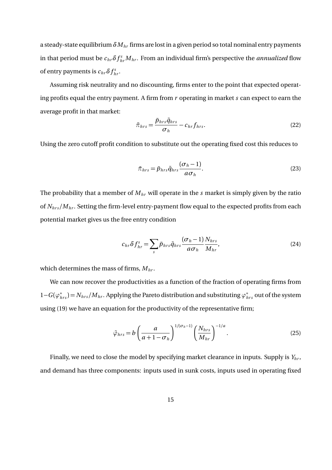a steady-state equilibrium *δMhr* firms are lost in a given period so total nominal entry payments in that period must be  $c_{hr}\delta f_{hr}^sM_{hr}$ . From an individual firm's perspective the *annualized* flow of entry payments is  $c_{hr}\delta f_{hr}^s$ .

Assuming risk neutrality and no discounting, firms enter to the point that expected operating profits equal the entry payment. A firm from *r* operating in market *s* can expect to earn the average profit in that market:

$$
\tilde{\pi}_{hrs} = \frac{\tilde{p}_{hrs}\tilde{q}_{hrs}}{\sigma_h} - c_{hr}f_{hrs}.
$$
\n(22)

Using the zero cutoff profit condition to substitute out the operating fixed cost this reduces to

$$
\tilde{\pi}_{hrs} = \tilde{p}_{hrs} \tilde{q}_{hrs} \frac{(\sigma_h - 1)}{a \sigma_h}.
$$
\n(23)

The probability that a member of *Mhr* will operate in the *s* market is simply given by the ratio of  $N<sub>hrs</sub>/M<sub>hr</sub>$ . Setting the firm-level entry-payment flow equal to the expected profits from each potential market gives us the free entry condition

$$
c_{hr}\delta f_{hr}^s = \sum_s \tilde{p}_{hrs}\tilde{q}_{hrs}\frac{(\sigma_h - 1)}{a\sigma_h}\frac{N_{hrs}}{M_{hr}},\tag{24}
$$

which determines the mass of firms, *Mhr* .

We can now recover the productivities as a function of the fraction of operating firms from 1*−G* (*φ ∗ hr s* ) = *Nhr s /Mhr* . Applying the Pareto distribution and substituting *φ ∗ hr s* out of the system using (19) we have an equation for the productivity of the representative firm;

$$
\tilde{\varphi}_{hrs} = b \left( \frac{a}{a + 1 - \sigma_h} \right)^{1/(\sigma_h - 1)} \left( \frac{N_{hrs}}{M_{hr}} \right)^{-1/a}.
$$
\n(25)

Finally, we need to close the model by specifying market clearance in inputs. Supply is *Yhr* , and demand has three components: inputs used in sunk costs, inputs used in operating fixed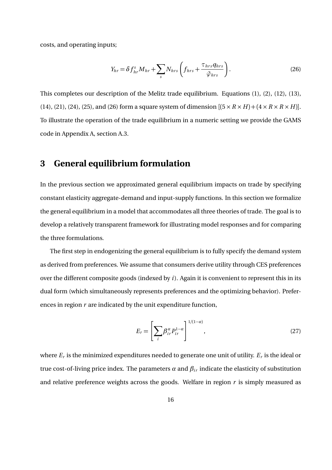costs, and operating inputs;

$$
Y_{hr} = \delta f_{hr}^s M_{hr} + \sum_s N_{hrs} \left( f_{hrs} + \frac{\tau_{hrs}}{\tilde{\varphi}_{hrs}} \right). \tag{26}
$$

This completes our description of the Melitz trade equilibrium. Equations (1), (2), (12), (13), (14), (21), (24), (25), and (26) form a square system of dimension  $[(5 \times R \times H) + (4 \times R \times R \times H)]$ . To illustrate the operation of the trade equilibrium in a numeric setting we provide the GAMS code in Appendix A, section A.3.

### **3 General equilibrium formulation**

In the previous section we approximated general equilibrium impacts on trade by specifying constant elasticity aggregate-demand and input-supply functions. In this section we formalize the general equilibrium in a model that accommodates all three theories of trade. The goal is to develop a relatively transparent framework for illustrating model responses and for comparing the three formulations.

The first step in endogenizing the general equilibrium is to fully specify the demand system as derived from preferences. We assume that consumers derive utility through CES preferences over the different composite goods (indexed by *i*). Again it is convenient to represent this in its dual form (which simultaneously represents preferences and the optimizing behavior). Preferences in region *r* are indicated by the unit expenditure function,

$$
E_r = \left[\sum_i \beta_{ir}^{\alpha} P_{ir}^{1-\alpha}\right]^{1/(1-\alpha)},\tag{27}
$$

where  $E_r$  is the minimized expenditures needed to generate one unit of utility.  $E_r$  is the ideal or true cost-of-living price index. The parameters  $\alpha$  and  $\beta_{ir}$  indicate the elasticity of substitution and relative preference weights across the goods. Welfare in region *r* is simply measured as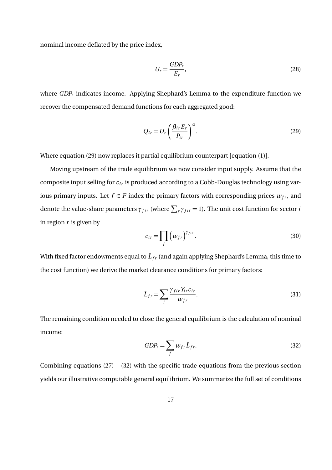nominal income deflated by the price index,

$$
U_r = \frac{GDP_r}{E_r},\tag{28}
$$

where *GDP<sup>r</sup>* indicates income. Applying Shephard's Lemma to the expenditure function we recover the compensated demand functions for each aggregated good:

$$
Q_{ir} = U_r \left(\frac{\beta_{ir} E_r}{P_{ir}}\right)^{\alpha}.
$$
\n(29)

Where equation (29) now replaces it partial equilibrium counterpart [equation (1)].

Moving upstream of the trade equilibrium we now consider input supply. Assume that the composite input selling for  $c_{ir}$  is produced according to a Cobb-Douglas technology using various primary inputs. Let  $f \in F$  index the primary factors with corresponding prices  $w_{fr}$ , and denote the value-share parameters  $\gamma_{fir}$  (where  $\sum_f \gamma_{fir} = 1$ ). The unit cost function for sector *i* in region *r* is given by

$$
c_{ir} = \prod_{f} \left( w_{fr} \right)^{\gamma_{fir}}.
$$
 (30)

With fixed factor endowments equal to  $\bar{L}_{fr}$  (and again applying Shephard's Lemma, this time to the cost function) we derive the market clearance conditions for primary factors:

$$
\bar{L}_{fr} = \sum_{i} \frac{\gamma_{fir} Y_{ir} c_{ir}}{w_{fr}}.
$$
\n(31)

The remaining condition needed to close the general equilibrium is the calculation of nominal income:

$$
GDP_r = \sum_f w_{fr} \bar{L}_{fr}.
$$
\n(32)

Combining equations  $(27) - (32)$  with the specific trade equations from the previous section yields our illustrative computable general equilibrium. We summarize the full set of conditions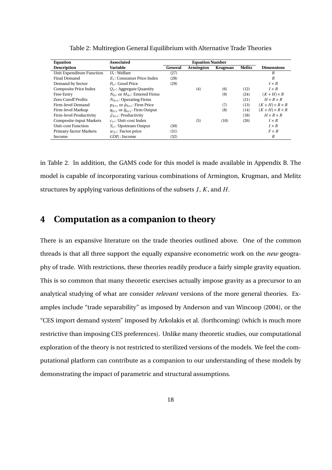| <b>Equation</b>              | <b>Associated</b>                            | <b>Equation Number</b> |           |                |               |                         |
|------------------------------|----------------------------------------------|------------------------|-----------|----------------|---------------|-------------------------|
| <b>Description</b>           | Variable                                     | General                | Armington | <b>Krugman</b> | <b>Melitz</b> | <b>Dimensions</b>       |
| Unit Expenditure Function    | $U_r$ : Welfare                              | (27)                   |           |                |               | R                       |
| Final Demand                 | $E_r$ : Consumer Price Index                 | (28)                   |           |                |               | R                       |
| Demand by Sector             | $P_{ir}$ : Good Price                        | (29)                   |           |                |               | $I \times R$            |
| <b>Composite Price Index</b> | $Q_{ir}$ : Aggregate Quantity                |                        | (4)       | (6)            | (12)          | $I \times R$            |
| Free Entry                   | $N_{kr}$ or $M_{hr}$ : Entered Firms         |                        |           | (9)            | (24)          | $(K+H)\times R$         |
| <b>Zero Cutoff Profits</b>   | $N_{hr}$ : Operating Firms                   |                        |           |                | (21)          | $H \times R \times R$   |
| Firm-level Demand            | $p_{krs}$ or $\tilde{p}_{hrs}$ : Firm Price  |                        |           | (7)            | (13)          | $(K+H)\times R\times R$ |
| Firm-level Markup            | $q_{krs}$ or $\tilde{q}_{hrs}$ : Firm Output |                        |           | (8)            | (14)          | $(K+H)\times R\times R$ |
| Firm-level Productivity      | $\tilde{\varphi}_{hrs}$ : Productivity       |                        |           |                | (18)          | $H \times R \times R$   |
| Composite-input Markets      | $c_{ir}$ : Unit-cost Index                   |                        | (5)       | (10)           | (26)          | $I \times R$            |
| Unit-cost Function           | $Y_{ir}$ : Upstream Output                   | (30)                   |           |                |               | $I \times R$            |
| Primary-factor Markets       | $w_{fr}$ : Factor price                      | (31)                   |           |                |               | $F \times R$            |
| Income                       | $GDP_r$ : Income                             | (32)                   |           |                |               | R                       |

Table 2: Multiregion General Equilibrium with Alternative Trade Theories

in Table 2. In addition, the GAMS code for this model is made available in Appendix B. The model is capable of incorporating various combinations of Armington, Krugman, and Melitz structures by applying various definitions of the subsets *J*, *K* , and *H*.

### **4 Computation as a companion to theory**

There is an expansive literature on the trade theories outlined above. One of the common threads is that all three support the equally expansive econometric work on the *new* geography of trade. With restrictions, these theories readily produce a fairly simple gravity equation. This is so common that many theoretic exercises actually impose gravity as a precursor to an analytical studying of what are consider *relevant* versions of the more general theories. Examples include "trade separability" as imposed by Anderson and van Wincoop (2004), or the "CES import demand system" imposed by Arkolakis et al. (forthcoming) (which is much more restrictive than imposing CES preferences). Unlike many theoretic studies, our computational exploration of the theory is not restricted to sterilized versions of the models. We feel the computational platform can contribute as a companion to our understanding of these models by demonstrating the impact of parametric and structural assumptions.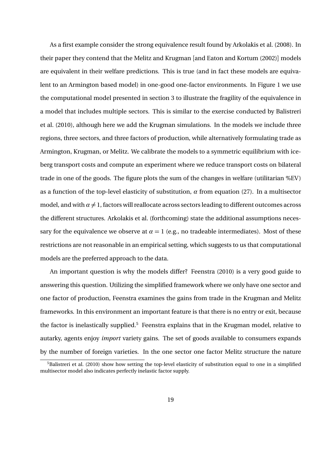As a first example consider the strong equivalence result found by Arkolakis et al. (2008). In their paper they contend that the Melitz and Krugman [and Eaton and Kortum (2002)] models are equivalent in their welfare predictions. This is true (and in fact these models are equivalent to an Armington based model) in one-good one-factor environments. In Figure 1 we use the computational model presented in section 3 to illustrate the fragility of the equivalence in a model that includes multiple sectors. This is similar to the exercise conducted by Balistreri et al. (2010), although here we add the Krugman simulations. In the models we include three regions, three sectors, and three factors of production, while alternatively formulating trade as Armington, Krugman, or Melitz. We calibrate the models to a symmetric equilibrium with iceberg transport costs and compute an experiment where we reduce transport costs on bilateral trade in one of the goods. The figure plots the sum of the changes in welfare (utilitarian %EV) as a function of the top-level elasticity of substitution, *α* from equation (27). In a multisector model, and with  $\alpha \neq 1$ , factors will reallocate across sectors leading to different outcomes across the different structures. Arkolakis et al. (forthcoming) state the additional assumptions necessary for the equivalence we observe at  $\alpha = 1$  (e.g., no tradeable intermediates). Most of these restrictions are not reasonable in an empirical setting, which suggests to us that computational models are the preferred approach to the data.

An important question is why the models differ? Feenstra (2010) is a very good guide to answering this question. Utilizing the simplified framework where we only have one sector and one factor of production, Feenstra examines the gains from trade in the Krugman and Melitz frameworks. In this environment an important feature is that there is no entry or exit, because the factor is inelastically supplied.<sup>5</sup> Feenstra explains that in the Krugman model, relative to autarky, agents enjoy *import* variety gains. The set of goods available to consumers expands by the number of foreign varieties. In the one sector one factor Melitz structure the nature

<sup>&</sup>lt;sup>5</sup>Balistreri et al. (2010) show how setting the top-level elasticity of substitution equal to one in a simplified multisector model also indicates perfectly inelastic factor supply.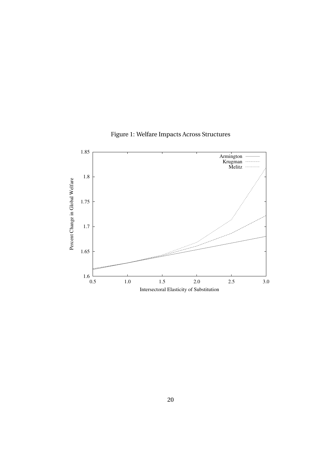

Figure 1: Welfare Impacts Across Structures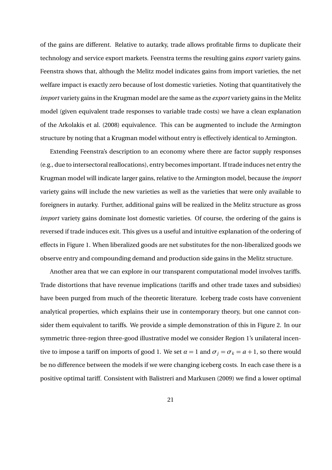of the gains are different. Relative to autarky, trade allows profitable firms to duplicate their technology and service export markets. Feenstra terms the resulting gains *export* variety gains. Feenstra shows that, although the Melitz model indicates gains from import varieties, the net welfare impact is exactly zero because of lost domestic varieties. Noting that quantitatively the *import* variety gains in the Krugman model are the same as the *export* variety gains in the Melitz model (given equivalent trade responses to variable trade costs) we have a clean explanation of the Arkolakis et al. (2008) equivalence. This can be augmented to include the Armington structure by noting that a Krugman model without entry is effectively identical to Armington.

Extending Feenstra's description to an economy where there are factor supply responses (e.g., due to intersectoral reallocations), entry becomes important. If trade induces net entry the Krugman model will indicate larger gains, relative to the Armington model, because the *import* variety gains will include the new varieties as well as the varieties that were only available to foreigners in autarky. Further, additional gains will be realized in the Melitz structure as gross *import* variety gains dominate lost domestic varieties. Of course, the ordering of the gains is reversed if trade induces exit. This gives us a useful and intuitive explanation of the ordering of effects in Figure 1. When liberalized goods are net substitutes for the non-liberalized goods we observe entry and compounding demand and production side gains in the Melitz structure.

Another area that we can explore in our transparent computational model involves tariffs. Trade distortions that have revenue implications (tariffs and other trade taxes and subsidies) have been purged from much of the theoretic literature. Iceberg trade costs have convenient analytical properties, which explains their use in contemporary theory, but one cannot consider them equivalent to tariffs. We provide a simple demonstration of this in Figure 2. In our symmetric three-region three-good illustrative model we consider Region 1's unilateral incentive to impose a tariff on imports of good 1. We set  $\alpha = 1$  and  $\sigma_i = \sigma_k = a + 1$ , so there would be no difference between the models if we were changing iceberg costs. In each case there is a positive optimal tariff. Consistent with Balistreri and Markusen (2009) we find a lower optimal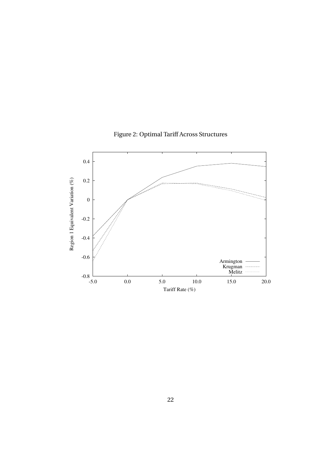

## Figure 2: Optimal Tariff Across Structures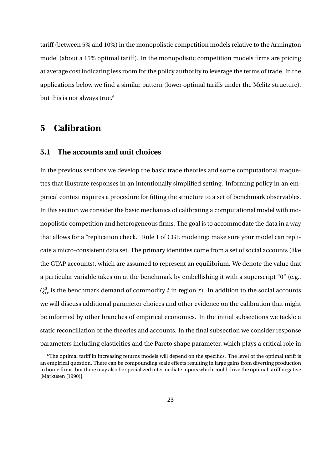tariff (between 5% and 10%) in the monopolistic competition models relative to the Armington model (about a 15% optimal tariff). In the monopolistic competition models firms are pricing at average cost indicating less room for the policy authority to leverage the terms of trade. In the applications below we find a similar pattern (lower optimal tariffs under the Melitz structure), but this is not always true.<sup>6</sup>

### **5 Calibration**

#### **5.1 The accounts and unit choices**

In the previous sections we develop the basic trade theories and some computational maquettes that illustrate responses in an intentionally simplified setting. Informing policy in an empirical context requires a procedure for fitting the structure to a set of benchmark observables. In this section we consider the basic mechanics of calibrating a computational model with monopolistic competition and heterogeneous firms. The goal is to accommodate the data in a way that allows for a "replication check." Rule 1 of CGE modeling: make sure your model can replicate a micro-consistent data set. The primary identities come from a set of social accounts (like the GTAP accounts), which are assumed to represent an equilibrium. We denote the value that a particular variable takes on at the benchmark by embellishing it with a superscript "0" (e.g.,  $Q_{ir}^0$  is the benchmark demand of commodity *i* in region *r*). In addition to the social accounts we will discuss additional parameter choices and other evidence on the calibration that might be informed by other branches of empirical economics. In the initial subsections we tackle a static reconciliation of the theories and accounts. In the final subsection we consider response parameters including elasticities and the Pareto shape parameter, which plays a critical role in

<sup>&</sup>lt;sup>6</sup>The optimal tariff in increasing returns models will depend on the specifics. The level of the optimal tariff is an empirical question. There can be compounding scale effects resulting in large gains from diverting production to home firms, but there may also be specialized intermediate inputs which could drive the optimal tariff negative [Markusen (1990)].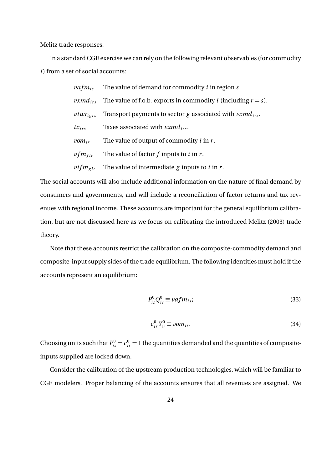Melitz trade responses.

In a standard CGE exercise we can rely on the following relevant observables (for commodity *i*) from a set of social accounts:

|                     | <i>vafm</i> <sub>is</sub> The value of demand for commodity <i>i</i> in region <i>s</i> .          |
|---------------------|----------------------------------------------------------------------------------------------------|
|                     | <i>vxmd</i> <sub>irs</sub> The value of f.o.b. exports in commodity <i>i</i> (including $r = s$ ). |
| $vtwr_{igrs}$       | Transport payments to sector g associated with $v x m d_{irs}$ .                                   |
| $tx_{irs}$          | Taxes associated with $\nu xmd_{irs}$ .                                                            |
| $vom_{ir}$          | The value of output of commodity $i$ in $r$ .                                                      |
| $\nu fm_{fir}$      | The value of factor $f$ inputs to $i$ in $r$ .                                                     |
| $vifm_{\text{gir}}$ | The value of intermediate g inputs to $i$ in $r$ .                                                 |

The social accounts will also include additional information on the nature of final demand by consumers and governments, and will include a reconciliation of factor returns and tax revenues with regional income. These accounts are important for the general equilibrium calibration, but are not discussed here as we focus on calibrating the introduced Melitz (2003) trade theory.

Note that these accounts restrict the calibration on the composite-commodity demand and composite-input supply sides of the trade equilibrium. The following identities must hold if the accounts represent an equilibrium:

$$
P_{is}^0 Q_{is}^0 \equiv vafm_{is};\tag{33}
$$

$$
c_{ir}^0 Y_{ir}^0 \equiv \nu o m_{ir}.
$$

Choosing units such that  $P_{is}^0 = c_{ir}^0 = 1$  the quantities demanded and the quantities of compositeinputs supplied are locked down.

Consider the calibration of the upstream production technologies, which will be familiar to CGE modelers. Proper balancing of the accounts ensures that all revenues are assigned. We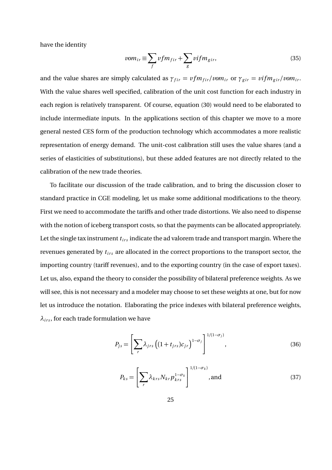have the identity

$$
vom_{ir} \equiv \sum_{f} vfm_{fir} + \sum_{g} vifm_{gir}, \qquad (35)
$$

and the value shares are simply calculated as  $\gamma_{fir} = v f m_{fir}/v m_{ir}$  or  $\gamma_{gir} = v f m_{gir}/v m_{ir}$ . With the value shares well specified, calibration of the unit cost function for each industry in each region is relatively transparent. Of course, equation (30) would need to be elaborated to include intermediate inputs. In the applications section of this chapter we move to a more general nested CES form of the production technology which accommodates a more realistic representation of energy demand. The unit-cost calibration still uses the value shares (and a series of elasticities of substitutions), but these added features are not directly related to the calibration of the new trade theories.

To facilitate our discussion of the trade calibration, and to bring the discussion closer to standard practice in CGE modeling, let us make some additional modifications to the theory. First we need to accommodate the tariffs and other trade distortions. We also need to dispense with the notion of iceberg transport costs, so that the payments can be allocated appropriately. Let the single tax instrument  $t_{irs}$  indicate the ad valorem trade and transport margin. Where the revenues generated by  $t_{irs}$  are allocated in the correct proportions to the transport sector, the importing country (tariff revenues), and to the exporting country (in the case of export taxes). Let us, also, expand the theory to consider the possibility of bilateral preference weights. As we will see, this is not necessary and a modeler may choose to set these weights at one, but for now let us introduce the notation. Elaborating the price indexes with bilateral preference weights,  $\lambda_{irs}$ , for each trade formulation we have

$$
P_{js} = \left[\sum_{r} \lambda_{jrs} \left((1+t_{jrs})c_{jr}\right)^{1-\sigma_j}\right]^{1/(1-\sigma_j)},\tag{36}
$$

$$
P_{ks} = \left[\sum_{r} \lambda_{krs} N_{kr} p_{krs}^{1-\sigma_k}\right]^{1/(1-\sigma_k)}, \text{and} \tag{37}
$$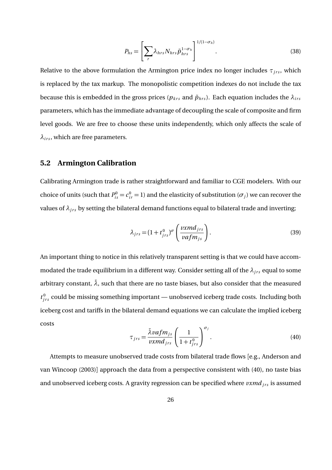$$
P_{hs} = \left[\sum_{r} \lambda_{hrs} N_{hrs} \tilde{p}_{hrs}^{1-\sigma_h}\right]^{1/(1-\sigma_h)}.
$$
\n(38)

Relative to the above formulation the Armington price index no longer includes  $\tau_{irs}$ , which is replaced by the tax markup. The monopolistic competition indexes do not include the tax because this is embedded in the gross prices ( $p_{krs}$  and  $\tilde{p}_{hrs}$ ). Each equation includes the  $\lambda_{irs}$ parameters, which has the immediate advantage of decoupling the scale of composite and firm level goods. We are free to choose these units independently, which only affects the scale of  $\lambda_{irs}$ , which are free parameters.

#### **5.2 Armington Calibration**

Calibrating Armington trade is rather straightforward and familiar to CGE modelers. With our choice of units (such that  $P_{is}^0 = c_{ir}^0 = 1$ ) and the elasticity of substitution ( $\sigma_j$ ) we can recover the values of  $\lambda_{irs}$  by setting the bilateral demand functions equal to bilateral trade and inverting;

$$
\lambda_{jrs} = (1 + t_{jrs}^0)^{\sigma} \left( \frac{\nu x m d_{jrs}}{\nu af m_{js}} \right). \tag{39}
$$

An important thing to notice in this relatively transparent setting is that we could have accommodated the trade equilibrium in a different way. Consider setting all of the  $λ<sub>jrs</sub>$  equal to some arbitrary constant,  $\bar{\lambda}$ , such that there are no taste biases, but also consider that the measured  $t_{jrs}^0$  could be missing something important — unobserved iceberg trade costs. Including both iceberg cost and tariffs in the bilateral demand equations we can calculate the implied iceberg costs

$$
\tau_{jrs} = \frac{\bar{\lambda}vafm_{js}}{vxm_{jrs}} \left(\frac{1}{1+t_{jrs}^0}\right)^{\sigma_j}.
$$
\n(40)

Attempts to measure unobserved trade costs from bilateral trade flows [e.g., Anderson and van Wincoop (2003)] approach the data from a perspective consistent with (40), no taste bias and unobserved iceberg costs. A gravity regression can be specified where  $vxmd<sub>irs</sub>$  is assumed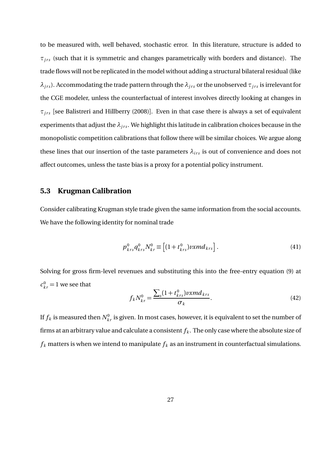to be measured with, well behaved, stochastic error. In this literature, structure is added to  $\tau_{irs}$  (such that it is symmetric and changes parametrically with borders and distance). The trade flows will not be replicated in the model without adding a structural bilateral residual (like *λ*<sub>*jrs*</sub>). Accommodating the trade pattern through the  $λ$ <sub>*jrs*</sub> or the unobserved  $τ$ <sub>*jrs*</sub> is irrelevant for the CGE modeler, unless the counterfactual of interest involves directly looking at changes in  $\tau_{irs}$  [see Balistreri and Hillberry (2008)]. Even in that case there is always a set of equivalent experiments that adjust the  $λ<sub>irs</sub>$ . We highlight this latitude in calibration choices because in the monopolistic competition calibrations that follow there will be similar choices. We argue along these lines that our insertion of the taste parameters  $\lambda_{irs}$  is out of convenience and does not affect outcomes, unless the taste bias is a proxy for a potential policy instrument.

#### **5.3 Krugman Calibration**

Consider calibrating Krugman style trade given the same information from the social accounts. We have the following identity for nominal trade

$$
p_{krs}^{0}q_{krs}^{0}N_{kr}^{0} \equiv \left[ (1 + t_{krs}^{0})v x m d_{krs} \right].
$$
 (41)

Solving for gross firm-level revenues and substituting this into the free-entry equation (9) at  $c_{kr}^0 = 1$  we see that

$$
f_k N_{kr}^0 = \frac{\sum_s (1 + t_{krs}^0) v x m d_{krs}}{\sigma_k}.
$$
\n(42)

If  $f_k$  is measured then  $N^0_{kr}$  is given. In most cases, however, it is equivalent to set the number of firms at an arbitrary value and calculate a consistent  $f_k$ . The only case where the absolute size of  $f_k$  matters is when we intend to manipulate  $f_k$  as an instrument in counterfactual simulations.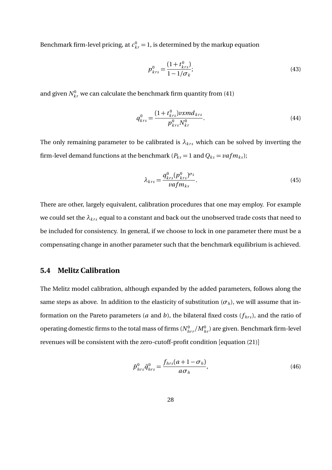Benchmark firm-level pricing, at  $c_{kr}^0 = 1$ , is determined by the markup equation

$$
p_{krs}^0 = \frac{(1+t_{krs}^0)}{1-1/\sigma_k};
$$
\n(43)

and given  $N_{kr}^0$  we can calculate the benchmark firm quantity from (41)

$$
q_{krs}^{0} = \frac{(1+t_{krs}^{0})\nu x m d_{krs}}{p_{krs}^{0} N_{kr}^{0}}.
$$
\n(44)

The only remaining parameter to be calibrated is  $\lambda_{krs}$  which can be solved by inverting the firm-level demand functions at the benchmark ( $P_{ks} = 1$  and  $Q_{ks} = \nu afm_{ks}$ );

$$
\lambda_{krs} = \frac{q_{krs}^0 (p_{krs}^0)^{\sigma_k}}{vafm_{ks}}.
$$
\n(45)

There are other, largely equivalent, calibration procedures that one may employ. For example we could set the  $\lambda_{krs}$  equal to a constant and back out the unobserved trade costs that need to be included for consistency. In general, if we choose to lock in one parameter there must be a compensating change in another parameter such that the benchmark equilibrium is achieved.

#### **5.4 Melitz Calibration**

The Melitz model calibration, although expanded by the added parameters, follows along the same steps as above. In addition to the elasticity of substitution  $(\sigma_h)$ , we will assume that information on the Pareto parameters (*a* and *b*), the bilateral fixed costs ( $f<sub>hrs</sub>$ ), and the ratio of operating domestic firms to the total mass of firms  $(N_{hrr}^0/M_{h r}^0)$  are given. Benchmark firm-level revenues will be consistent with the zero-cutoff-profit condition [equation (21)]

$$
\tilde{p}_{hrs}^0 \tilde{q}_{hrs}^0 = \frac{f_{hrs}(a+1-\sigma_h)}{a\sigma_h},\tag{46}
$$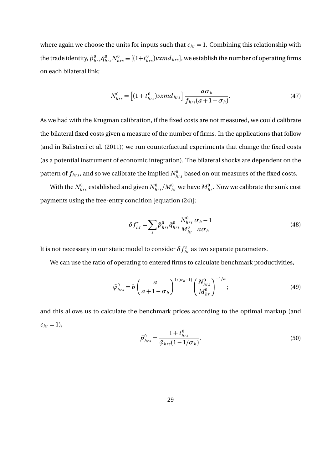where again we choose the units for inputs such that  $c_{hr} = 1$ . Combining this relationship with the trade identity,  $\tilde{p}^0_{hrs}\tilde{q}^0_{hrs}N^0_{hrs}\equiv[(1+t^0_{hrs})vxm d_{hrs}]$ , we establish the number of operating firms on each bilateral link;

$$
N_{hrs}^{0} = \left[ (1 + t_{hrs}^{0}) \nu x m d_{hrs} \right] \frac{a \sigma_h}{f_{hrs}(a + 1 - \sigma_h)}.
$$
\n
$$
(47)
$$

As we had with the Krugman calibration, if the fixed costs are not measured, we could calibrate the bilateral fixed costs given a measure of the number of firms. In the applications that follow (and in Balistreri et al. (2011)) we run counterfactual experiments that change the fixed costs (as a potential instrument of economic integration). The bilateral shocks are dependent on the pattern of  $f_{hrs}$ , and so we calibrate the implied  $N_{hrs}^0$  based on our measures of the fixed costs.

With the  $N_{hrs}^0$  established and given  $N_{hrr}^0/M_{hr}^0$  we have  $M_{hr}^0$ . Now we calibrate the sunk cost payments using the free-entry condition [equation (24)];

$$
\delta f_{hr}^s = \sum_s \tilde{p}_{hrs}^0 \tilde{q}_{hrs}^0 \frac{N_{hrs}^0}{M_{hr}^0} \frac{\sigma_h - 1}{a\sigma_h} \tag{48}
$$

It is not necessary in our static model to consider  $\delta f_{hr}^s$  as two separate parameters.

We can use the ratio of operating to entered firms to calculate benchmark productivities,

$$
\tilde{\varphi}_{hrs}^{0} = b \left( \frac{a}{a+1 - \sigma_h} \right)^{1/(\sigma_h - 1)} \left( \frac{N_{hrs}^{0}}{M_{hr}^{0}} \right)^{-1/a};
$$
\n(49)

and this allows us to calculate the benchmark prices according to the optimal markup (and  $c_{hr} = 1$ ,

$$
\tilde{p}_{hrs}^{0} = \frac{1 + t_{hrs}^{0}}{\tilde{\varphi}_{hrs}(1 - 1/\sigma_h)}.
$$
\n(50)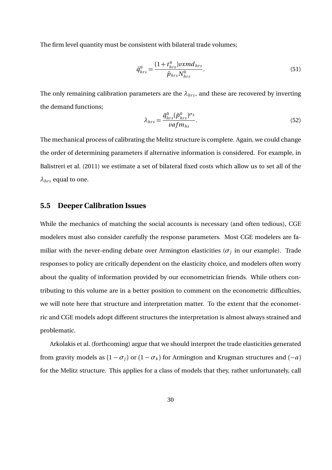The firm level quantity must be consistent with bilateral trade volumes;

$$
\tilde{q}_{hrs}^{0} = \frac{(1+t_{hrs}^{0})\nu x m d_{hrs}}{\tilde{p}_{hrs} N_{hrs}^{0}}.
$$
\n(51)

The only remaining calibration parameters are the  $\lambda_{hrs}$ , and these are recovered by inverting the demand functions;

$$
\lambda_{hrs} = \frac{\tilde{q}_{hrs}^0 (\tilde{p}_{hrs}^0)^{\sigma_h}}{\nu af m_{hs}}.
$$
\n(52)

The mechanical process of calibrating the Melitz structure is complete. Again, we could change the order of determining parameters if alternative information is considered. For example, in Balistreri et al. (2011) we estimate a set of bilateral fixed costs which allow us to set all of the  $\lambda_{hrs}$  equal to one.

#### **5.5 Deeper Calibration Issues**

While the mechanics of matching the social accounts is necessary (and often tedious), CGE modelers must also consider carefully the response parameters. Most CGE modelers are familiar with the never-ending debate over Armington elasticities ( $\sigma_j$  in our example). Trade responses to policy are critically dependent on the elasticity choice, and modelers often worry about the quality of information provided by our econometrician friends. While others contributing to this volume are in a better position to comment on the econometric difficulties, we will note here that structure and interpretation matter. To the extent that the econometric and CGE models adopt different structures the interpretation is almost always strained and problematic.

Arkolakis et al. (forthcoming) argue that we should interpret the trade elasticities generated from gravity models as  $(1 - \sigma_i)$  or  $(1 - \sigma_k)$  for Armington and Krugman structures and  $(-a)$ for the Melitz structure. This applies for a class of models that they, rather unfortunately, call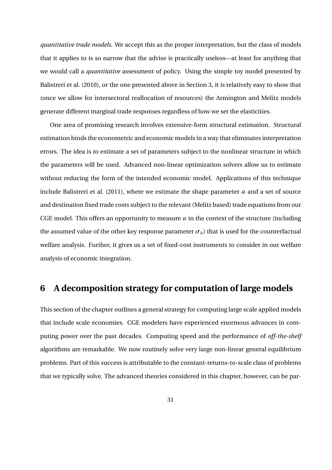*quantitative trade models*. We accept this as the proper interpretation, but the class of models that it applies to is so narrow that the advise is practically useless—at least for anything that we would call a *quantitative* assessment of policy. Using the simple toy model presented by Balistreri et al. (2010), or the one presented above in Section 3, it is relatively easy to show that (once we allow for intersectoral reallocation of resources) the Armington and Melitz models generate different marginal trade responses regardless of how we set the elasticities.

One area of promising research involves extensive-form structural estimation. Structural estimation binds the econometric and economic models in a way that eliminates interpretation errors. The idea is to estimate a set of parameters subject to the nonlinear structure in which the parameters will be used. Advanced non-linear optimization solvers allow us to estimate without reducing the form of the intended economic model. Applications of this technique include Balistreri et al. (2011), where we estimate the shape parameter *a* and a set of source and destination fixed trade costs subject to the relevant (Melitz based) trade equations from our CGE model. This offers an opportunity to measure *a* in the context of the structure (including the assumed value of the other key response parameter  $\sigma_h$ ) that is used for the counterfactual welfare analysis. Further, it gives us a set of fixed-cost instruments to consider in our welfare analysis of economic integration.

### **6 A decomposition strategy for computation of large models**

This section of the chapter outlines a general strategy for computing large scale applied models that include scale economies. CGE modelers have experienced enormous advances in computing power over the past decades. Computing speed and the performance of *off-the-shelf* algorithms are remarkable. We now routinely solve very large non-linear general equilibrium problems. Part of this success is attributable to the constant-returns-to-scale class of problems that we typically solve. The advanced theories considered in this chapter, however, can be par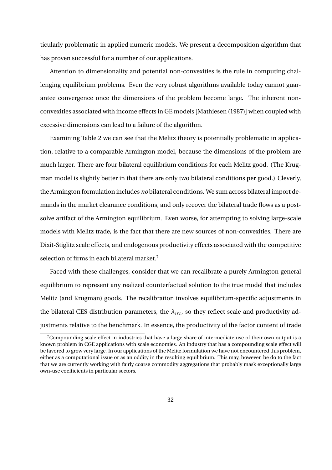ticularly problematic in applied numeric models. We present a decomposition algorithm that has proven successful for a number of our applications.

Attention to dimensionality and potential non-convexities is the rule in computing challenging equilibrium problems. Even the very robust algorithms available today cannot guarantee convergence once the dimensions of the problem become large. The inherent nonconvexities associated with income effects in GE models [Mathiesen (1987)] when coupled with excessive dimensions can lead to a failure of the algorithm.

Examining Table 2 we can see that the Melitz theory is potentially problematic in application, relative to a comparable Armington model, because the dimensions of the problem are much larger. There are four bilateral equilibrium conditions for each Melitz good. (The Krugman model is slightly better in that there are only two bilateral conditions per good.) Cleverly, the Armington formulation includes *no* bilateral conditions. We sum across bilateral import demands in the market clearance conditions, and only recover the bilateral trade flows as a postsolve artifact of the Armington equilibrium. Even worse, for attempting to solving large-scale models with Melitz trade, is the fact that there are new sources of non-convexities. There are Dixit-Stiglitz scale effects, and endogenous productivity effects associated with the competitive selection of firms in each bilateral market.<sup>7</sup>

Faced with these challenges, consider that we can recalibrate a purely Armington general equilibrium to represent any realized counterfactual solution to the true model that includes Melitz (and Krugman) goods. The recalibration involves equilibrium-specific adjustments in the bilateral CES distribution parameters, the  $\lambda_{irs}$ , so they reflect scale and productivity adjustments relative to the benchmark. In essence, the productivity of the factor content of trade

 $7$ Compounding scale effect in industries that have a large share of intermediate use of their own output is a known problem in CGE applications with scale economies. An industry that has a compounding scale effect will be favored to grow very large. In our applications of the Melitz formulation we have not encountered this problem, either as a computational issue or as an oddity in the resulting equilibrium. This may, however, be do to the fact that we are currently working with fairly coarse commodity aggregations that probably mask exceptionally large own-use coefficients in particular sectors.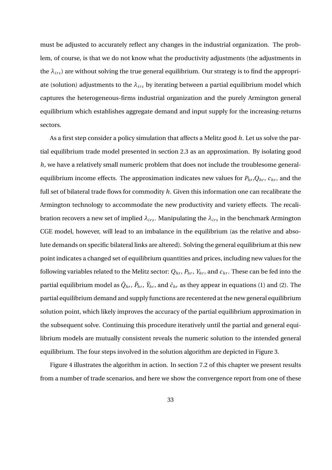must be adjusted to accurately reflect any changes in the industrial organization. The problem, of course, is that we do not know what the productivity adjustments (the adjustments in the  $\lambda_{irs}$ ) are without solving the true general equilibrium. Our strategy is to find the appropriate (solution) adjustments to the  $\lambda_{irs}$  by iterating between a partial equilibrium model which captures the heterogeneous-firms industrial organization and the purely Armington general equilibrium which establishes aggregate demand and input supply for the increasing-returns sectors.

As a first step consider a policy simulation that affects a Melitz good *h*. Let us solve the partial equilibrium trade model presented in section 2.3 as an approximation. By isolating good *h*, we have a relatively small numeric problem that does not include the troublesome generalequilibrium income effects. The approximation indicates new values for  $P<sub>hr</sub>, Q<sub>hr</sub>$ ,  $c<sub>hr</sub>$ , and the full set of bilateral trade flows for commodity *h*. Given this information one can recalibrate the Armington technology to accommodate the new productivity and variety effects. The recalibration recovers a new set of implied  $\lambda_{irs}$ . Manipulating the  $\lambda_{irs}$  in the benchmark Armington CGE model, however, will lead to an imbalance in the equilibrium (as the relative and absolute demands on specific bilateral links are altered). Solving the general equilibrium at this new point indicates a changed set of equilibrium quantities and prices, including new values for the following variables related to the Melitz sector:  $Q_{hr}$ ,  $P_{hr}$ ,  $Y_{hr}$ , and  $c_{hr}$ . These can be fed into the partial equilibrium model as  $\bar{Q}_{hr},\,\bar{P}_{hr},\,\bar{Y}_{hr},$  and  $\bar{c}_{hr}$  as they appear in equations (1) and (2). The partial equilibrium demand and supply functions are recentered at the new general equilibrium solution point, which likely improves the accuracy of the partial equilibrium approximation in the subsequent solve. Continuing this procedure iteratively until the partial and general equilibrium models are mutually consistent reveals the numeric solution to the intended general equilibrium. The four steps involved in the solution algorithm are depicted in Figure 3.

Figure 4 illustrates the algorithm in action. In section 7.2 of this chapter we present results from a number of trade scenarios, and here we show the convergence report from one of these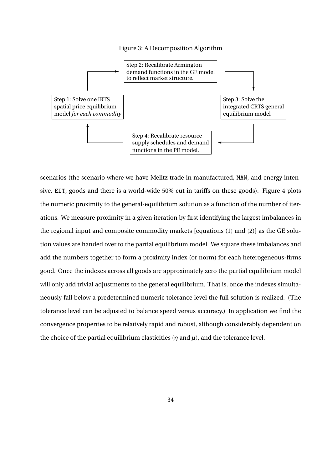#### Figure 3: A Decomposition Algorithm



scenarios (the scenario where we have Melitz trade in manufactured, MAN, and energy intensive, EIT, goods and there is a world-wide 50% cut in tariffs on these goods). Figure 4 plots the numeric proximity to the general-equilibrium solution as a function of the number of iterations. We measure proximity in a given iteration by first identifying the largest imbalances in the regional input and composite commodity markets [equations (1) and (2)] as the GE solution values are handed over to the partial equilibrium model. We square these imbalances and add the numbers together to form a proximity index (or norm) for each heterogeneous-firms good. Once the indexes across all goods are approximately zero the partial equilibrium model will only add trivial adjustments to the general equilibrium. That is, once the indexes simultaneously fall below a predetermined numeric tolerance level the full solution is realized. (The tolerance level can be adjusted to balance speed versus accuracy.) In application we find the convergence properties to be relatively rapid and robust, although considerably dependent on the choice of the partial equilibrium elasticities ( $\eta$  and  $\mu$ ), and the tolerance level.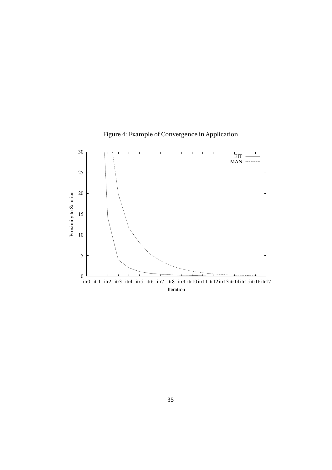

Figure 4: Example of Convergence in Application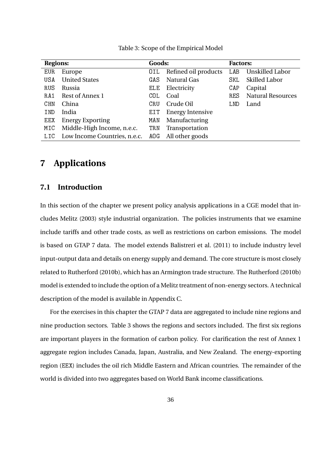| <b>Regions:</b><br>Goods: |                                  | <b>Factors:</b> |                         |       |                          |
|---------------------------|----------------------------------|-----------------|-------------------------|-------|--------------------------|
| <b>EUR</b>                | Europe                           | OIL             | Refined oil products    | L A B | <b>Unskilled Labor</b>   |
| USA                       | <b>United States</b>             | GAS             | <b>Natural Gas</b>      | SKL.  | <b>Skilled Labor</b>     |
| RUS                       | Russia                           | <b>ELE</b>      | Electricity             | CAP   | Capital                  |
| RA1                       | Rest of Annex 1                  | COL             | Coal                    | RES.  | <b>Natural Resources</b> |
| <b>CHN</b>                | China                            | CRU             | Crude Oil               | LND   | Land                     |
| IND                       | India                            | EIT             | <b>Energy Intensive</b> |       |                          |
| EEX                       | <b>Energy Exporting</b>          | MAN             | Manufacturing           |       |                          |
| MIC                       | Middle-High Income, n.e.c.       | TRN             | Transportation          |       |                          |
|                           | LIC Low Income Countries, n.e.c. | AOG             | All other goods         |       |                          |
|                           |                                  |                 |                         |       |                          |

Table 3: Scope of the Empirical Model

### **7 Applications**

### **7.1 Introduction**

In this section of the chapter we present policy analysis applications in a CGE model that includes Melitz (2003) style industrial organization. The policies instruments that we examine include tariffs and other trade costs, as well as restrictions on carbon emissions. The model is based on GTAP 7 data. The model extends Balistreri et al. (2011) to include industry level input-output data and details on energy supply and demand. The core structure is most closely related to Rutherford (2010b), which has an Armington trade structure. The Rutherford (2010b) model is extended to include the option of a Melitz treatment of non-energy sectors. A technical description of the model is available in Appendix C.

For the exercises in this chapter the GTAP 7 data are aggregated to include nine regions and nine production sectors. Table 3 shows the regions and sectors included. The first six regions are important players in the formation of carbon policy. For clarification the rest of Annex 1 aggregate region includes Canada, Japan, Australia, and New Zealand. The energy-exporting region (EEX) includes the oil rich Middle Eastern and African countries. The remainder of the world is divided into two aggregates based on World Bank income classifications.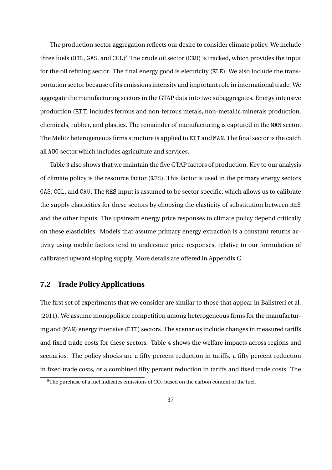The production sector aggregation reflects our desire to consider climate policy. We include three fuels (OIL, GAS, and COL) <sup>8</sup> The crude oil sector (CRU) is tracked, which provides the input for the oil refining sector. The final energy good is electricity (ELE). We also include the transportation sector because of its emissions intensity and important role in international trade. We aggregate the manufacturing sectors in the GTAP data into two subaggregates. Energy intensive production (EIT) includes ferrous and non-ferrous metals, non-metallic minerals production, chemicals, rubber, and plastics. The remainder of manufacturing is captured in the MAN sector. The Melitz heterogeneous firms structure is applied to EIT and MAN. The final sector is the catch all AOG sector which includes agriculture and services.

Table 3 also shows that we maintain the five GTAP factors of production. Key to our analysis of climate policy is the resource factor (RES). This factor is used in the primary energy sectors GAS, COL, and CRU. The RES input is assumed to be sector specific, which allows us to calibrate the supply elasticities for these sectors by choosing the elasticity of substitution between RES and the other inputs. The upstream energy price responses to climate policy depend critically on these elasticities. Models that assume primary energy extraction is a constant returns activity using mobile factors tend to understate price responses, relative to our formulation of calibrated upward sloping supply. More details are offered in Appendix C.

### **7.2 Trade Policy Applications**

The first set of experiments that we consider are similar to those that appear in Balistreri et al. (2011). We assume monopolistic competition among heterogeneous firms for the manufacturing and (MAN) energy intensive (EIT) sectors. The scenarios include changes in measured tariffs and fixed trade costs for these sectors. Table 4 shows the welfare impacts across regions and scenarios. The policy shocks are a fifty percent reduction in tariffs, a fifty percent reduction in fixed trade costs, or a combined fifty percent reduction in tariffs and fixed trade costs. The

<sup>&</sup>lt;sup>8</sup>The purchase of a fuel indicates emissions of  $CO<sub>2</sub>$  based on the carbon content of the fuel.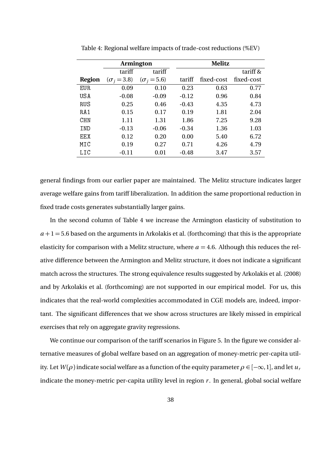|            |                    | <b>Armington</b>   |         | <b>Melitz</b> |            |
|------------|--------------------|--------------------|---------|---------------|------------|
|            | tariff             | tariff             |         |               | tariff &   |
| Region     | $(\sigma_i = 3.8)$ | $(\sigma_i = 5.6)$ | tariff  | fixed-cost    | fixed-cost |
| <b>EUR</b> | 0.09               | 0.10               | 0.23    | 0.63          | 0.77       |
| USA        | $-0.08$            | $-0.09$            | $-0.12$ | 0.96          | 0.84       |
| <b>RUS</b> | 0.25               | 0.46               | $-0.43$ | 4.35          | 4.73       |
| RA1        | 0.15               | 0.17               | 0.19    | 1.81          | 2.04       |
| <b>CHN</b> | 1.11               | 1.31               | 1.86    | 7.25          | 9.28       |
| TND        | $-0.13$            | $-0.06$            | $-0.34$ | 1.36          | 1.03       |
| FFX.       | 0.12               | 0.20               | 0.00    | 5.40          | 6.72       |
| MTC        | 0.19               | 0.27               | 0.71    | 4.26          | 4.79       |
| LIC        | $-0.11$            | 0.01               | $-0.48$ | 3.47          | 3.57       |

Table 4: Regional welfare impacts of trade-cost reductions (%EV)

general findings from our earlier paper are maintained. The Melitz structure indicates larger average welfare gains from tariff liberalization. In addition the same proportional reduction in fixed trade costs generates substantially larger gains.

In the second column of Table 4 we increase the Armington elasticity of substitution to  $a+1=5.6$  based on the arguments in Arkolakis et al. (forthcoming) that this is the appropriate elasticity for comparison with a Melitz structure, where  $a = 4.6$ . Although this reduces the relative difference between the Armington and Melitz structure, it does not indicate a significant match across the structures. The strong equivalence results suggested by Arkolakis et al. (2008) and by Arkolakis et al. (forthcoming) are not supported in our empirical model. For us, this indicates that the real-world complexities accommodated in CGE models are, indeed, important. The significant differences that we show across structures are likely missed in empirical exercises that rely on aggregate gravity regressions.

We continue our comparison of the tariff scenarios in Figure 5. In the figure we consider alternative measures of global welfare based on an aggregation of money-metric per-capita utility. Let *W*( $\rho$ ) indicate social welfare as a function of the equity parameter  $\rho \in [-\infty, 1]$ , and let  $u_r$ indicate the money-metric per-capita utility level in region  $r$ . In general, global social welfare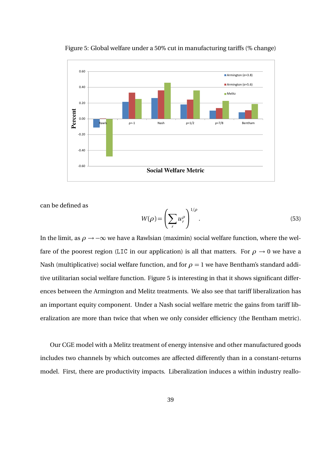

Figure 5: Global welfare under a 50% cut in manufacturing tariffs (% change)

can be defined as

$$
W(\rho) = \left(\sum_r u_r^{\rho}\right)^{1/\rho}.\tag{53}
$$

In the limit, as  $\rho \rightarrow -\infty$  we have a Rawlsian (maximin) social welfare function, where the welfare of the poorest region (LIC in our application) is all that matters. For  $\rho \rightarrow 0$  we have a Nash (multiplicative) social welfare function, and for  $\rho = 1$  we have Bentham's standard additive utilitarian social welfare function. Figure 5 is interesting in that it shows significant differences between the Armington and Melitz treatments. We also see that tariff liberalization has an important equity component. Under a Nash social welfare metric the gains from tariff liberalization are more than twice that when we only consider efficiency (the Bentham metric).

Our CGE model with a Melitz treatment of energy intensive and other manufactured goods includes two channels by which outcomes are affected differently than in a constant-returns model. First, there are productivity impacts. Liberalization induces a within industry reallo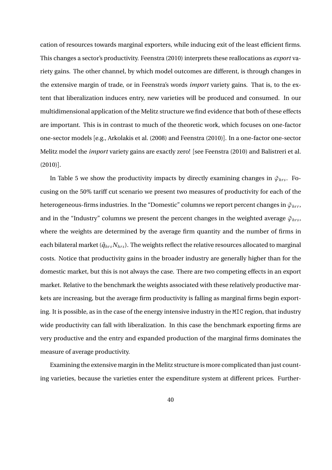cation of resources towards marginal exporters, while inducing exit of the least efficient firms. This changes a sector's productivity. Feenstra (2010) interprets these reallocations as *export* variety gains. The other channel, by which model outcomes are different, is through changes in the extensive margin of trade, or in Feenstra's words *import* variety gains. That is, to the extent that liberalization induces entry, new varieties will be produced and consumed. In our multidimensional application of the Melitz structure we find evidence that both of these effects are important. This is in contrast to much of the theoretic work, which focuses on one-factor one-sector models [e.g., Arkolakis et al. (2008) and Feenstra (2010)]. In a one-factor one-sector Melitz model the *import* variety gains are exactly zero! [see Feenstra (2010) and Balistreri et al. (2010)].

In Table 5 we show the productivity impacts by directly examining changes in  $\tilde{\varphi}_{hrs}$ . Focusing on the 50% tariff cut scenario we present two measures of productivity for each of the heterogeneous-firms industries. In the "Domestic" columns we report percent changes in  $\tilde{\varphi}_{hrr}$ , and in the "Industry" columns we present the percent changes in the weighted average  $\tilde{\varphi}_{hrs}$ , where the weights are determined by the average firm quantity and the number of firms in each bilateral market ( $\tilde{q}_{hrs}N_{hrs}$ ). The weights reflect the relative resources allocated to marginal costs. Notice that productivity gains in the broader industry are generally higher than for the domestic market, but this is not always the case. There are two competing effects in an export market. Relative to the benchmark the weights associated with these relatively productive markets are increasing, but the average firm productivity is falling as marginal firms begin exporting. It is possible, as in the case of the energy intensive industry in the MIC region, that industry wide productivity can fall with liberalization. In this case the benchmark exporting firms are very productive and the entry and expanded production of the marginal firms dominates the measure of average productivity.

Examining the extensive margin in the Melitz structure is more complicated than just counting varieties, because the varieties enter the expenditure system at different prices. Further-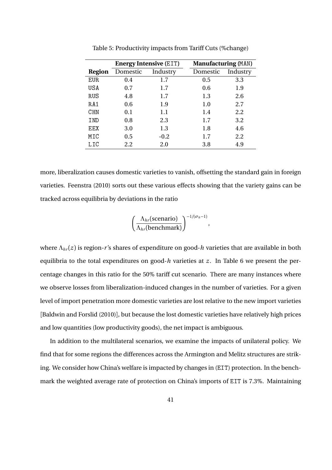|            |          | <b>Energy Intensive (EIT)</b> | <b>Manufacturing (MAN)</b> |          |
|------------|----------|-------------------------------|----------------------------|----------|
| Region     | Domestic | Industry                      | Domestic                   | Industry |
| <b>EUR</b> | 0.4      | 1.7                           | 0.5                        | 3.3      |
| USA        | 0.7      | 1.7                           | 0.6                        | 1.9      |
| RUS        | 4.8      | 1.7                           | 1.3                        | 2.6      |
| RA1        | 0.6      | 1.9                           | 1.0                        | 2.7      |
| <b>CHN</b> | 0.1      | 1.1                           | 1.4                        | 2.2      |
| IND        | 0.8      | 2.3                           | 1.7                        | 3.2      |
| EEX        | 3.0      | 1.3                           | 1.8                        | 4.6      |
| MIC        | 0.5      | $-0.2$                        | 1.7                        | 2.2      |
| LIC        | 2.2      | 2.0                           | 3.8                        | 4.9      |

Table 5: Productivity impacts from Tariff Cuts (%change)

more, liberalization causes domestic varieties to vanish, offsetting the standard gain in foreign varieties. Feenstra (2010) sorts out these various effects showing that the variety gains can be tracked across equilibria by deviations in the ratio

$$
\left(\frac{\Lambda_{hr}(\text{scenario})}{\Lambda_{hr}(\text{benchmark})}\right)^{-1/(\sigma_h-1)},
$$

where Λ*hr* (*z* ) is region-*r* 's shares of expenditure on good-*h* varieties that are available in both equilibria to the total expenditures on good- $h$  varieties at  $z$ . In Table 6 we present the percentage changes in this ratio for the 50% tariff cut scenario. There are many instances where we observe losses from liberalization-induced changes in the number of varieties. For a given level of import penetration more domestic varieties are lost relative to the new import varieties [Baldwin and Forslid (2010)], but because the lost domestic varieties have relatively high prices and low quantities (low productivity goods), the net impact is ambiguous.

In addition to the multilateral scenarios, we examine the impacts of unilateral policy. We find that for some regions the differences across the Armington and Melitz structures are striking. We consider how China's welfare is impacted by changes in (EIT) protection. In the benchmark the weighted average rate of protection on China's imports of EIT is 7.3%. Maintaining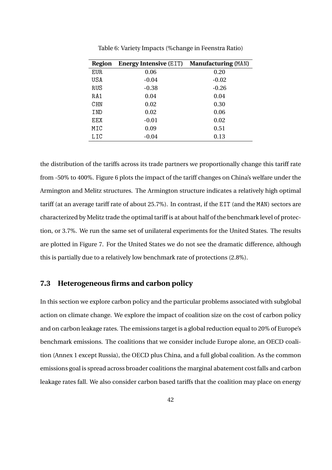| Region     | <b>Energy Intensive (EIT)</b> | <b>Manufacturing (MAN)</b> |
|------------|-------------------------------|----------------------------|
| EUR.       | 0.06                          | 0.20                       |
| USA        | $-0.04$                       | $-0.02$                    |
| <b>RUS</b> | $-0.38$                       | $-0.26$                    |
| RA1        | 0.04                          | 0.04                       |
| CHN        | 0.02                          | 0.30                       |
| IND        | 0.02                          | 0.06                       |
| EEX        | $-0.01$                       | 0.02                       |
| MIC        | 0.09                          | 0.51                       |
| LIC        | $-0.04$                       | 0.13                       |

Table 6: Variety Impacts (%change in Feenstra Ratio)

the distribution of the tariffs across its trade partners we proportionally change this tariff rate from -50% to 400%. Figure 6 plots the impact of the tariff changes on China's welfare under the Armington and Melitz structures. The Armington structure indicates a relatively high optimal tariff (at an average tariff rate of about 25.7%). In contrast, if the EIT (and the MAN) sectors are characterized by Melitz trade the optimal tariff is at about half of the benchmark level of protection, or 3.7%. We run the same set of unilateral experiments for the United States. The results are plotted in Figure 7. For the United States we do not see the dramatic difference, although this is partially due to a relatively low benchmark rate of protections (2.8%).

#### **7.3 Heterogeneous firms and carbon policy**

In this section we explore carbon policy and the particular problems associated with subglobal action on climate change. We explore the impact of coalition size on the cost of carbon policy and on carbon leakage rates. The emissions target is a global reduction equal to 20% of Europe's benchmark emissions. The coalitions that we consider include Europe alone, an OECD coalition (Annex 1 except Russia), the OECD plus China, and a full global coalition. As the common emissions goal is spread across broader coalitions the marginal abatement cost falls and carbon leakage rates fall. We also consider carbon based tariffs that the coalition may place on energy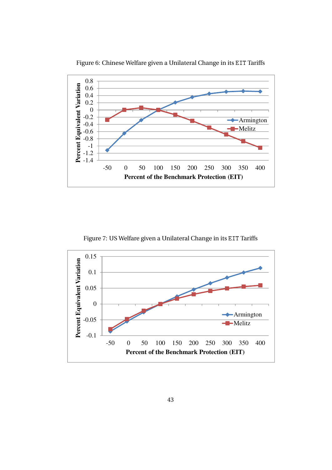

Figure 6: Chinese Welfare given a Unilateral Change in its EIT Tariffs

Figure 7: US Welfare given a Unilateral Change in its EIT Tariffs

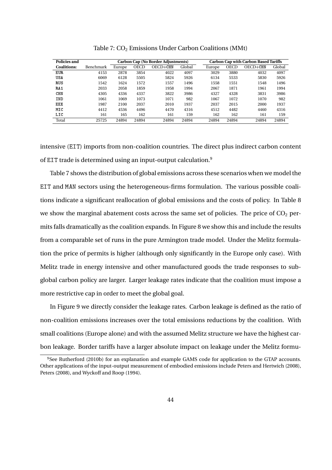| Policies and       |                  |        |       | Carbon Cap (No Border Adjustments) |        |  | <b>Carbon Cap with Carbon Based Tariffs</b> |             |          |        |
|--------------------|------------------|--------|-------|------------------------------------|--------|--|---------------------------------------------|-------------|----------|--------|
| <b>Coalitions:</b> | <b>Benchmark</b> | Europe | OECD  | $OECD+CHN$                         | Global |  | Europe                                      | <b>OECD</b> | OECD+CHN | Global |
| <b>EUR</b>         | 4153             | 2878   | 3854  | 4022                               | 4097   |  | 3029                                        | 3880        | 4032     | 4097   |
| <b>USA</b>         | 6069             | 6128   | 5505  | 5824                               | 5926   |  | 6134                                        | 5533        | 5830     | 5926   |
| <b>RUS</b>         | 1542             | 1624   | 1572  | 1557                               | 1496   |  | 1558                                        | 1551        | 1548     | 1496   |
| RA1                | 2033             | 2058   | 1859  | 1958                               | 1994   |  | 2067                                        | 1871        | 1961     | 1994   |
| CHN                | 4305             | 4336   | 4337  | 3822                               | 3986   |  | 4327                                        | 4328        | 3831     | 3986   |
| IND                | 1061             | 1069   | 1073  | 1071                               | 982    |  | 1067                                        | 1072        | 1070     | 982    |
| <b>EEX</b>         | 1987             | 2100   | 2037  | 2010                               | 1937   |  | 2037                                        | 2015        | 2000     | 1937   |
| MIC                | 4412             | 4536   | 4496  | 4470                               | 4316   |  | 4512                                        | 4482        | 4460     | 4316   |
| LIC                | 161              | 165    | 162   | 161                                | 159    |  | 162                                         | 162         | 161      | 159    |
| Total              | 25725            | 24894  | 24894 | 24894                              | 24894  |  | 24894                                       | 24894       | 24894    | 24894  |

Table 7: CO<sub>2</sub> Emissions Under Carbon Coalitions (MMt)

intensive (EIT) imports from non-coalition countries. The direct plus indirect carbon content of EIT trade is determined using an input-output calculation.<sup>9</sup>

Table 7 shows the distribution of global emissions across these scenarios when we model the EIT and MAN sectors using the heterogeneous-firms formulation. The various possible coalitions indicate a significant reallocation of global emissions and the costs of policy. In Table 8 we show the marginal abatement costs across the same set of policies. The price of  $CO<sub>2</sub>$  permits falls dramatically as the coalition expands. In Figure 8 we show this and include the results from a comparable set of runs in the pure Armington trade model. Under the Melitz formulation the price of permits is higher (although only significantly in the Europe only case). With Melitz trade in energy intensive and other manufactured goods the trade responses to subglobal carbon policy are larger. Larger leakage rates indicate that the coalition must impose a more restrictive cap in order to meet the global goal.

In Figure 9 we directly consider the leakage rates. Carbon leakage is defined as the ratio of non-coalition emissions increases over the total emissions reductions by the coalition. With small coalitions (Europe alone) and with the assumed Melitz structure we have the highest carbon leakage. Border tariffs have a larger absolute impact on leakage under the Melitz formu-

<sup>9</sup>See Rutherford (2010b) for an explanation and example GAMS code for application to the GTAP accounts. Other applications of the input-output measurement of embodied emissions include Peters and Hertwich (2008), Peters (2008), and Wyckoff and Roop (1994).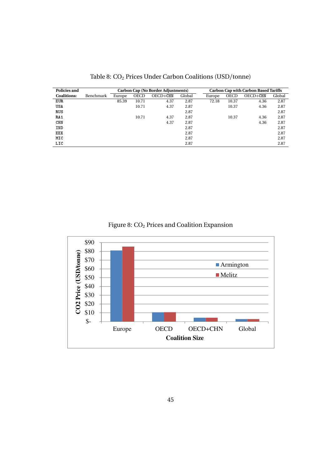| <b>Policies and</b> |           | Carbon Cap (No Border Adjustments) |             |            |        |        | <b>Carbon Cap with Carbon Based Tariffs</b> |            |        |
|---------------------|-----------|------------------------------------|-------------|------------|--------|--------|---------------------------------------------|------------|--------|
| <b>Coalitions:</b>  | Benchmark | Europe                             | <b>OECD</b> | $OECD+CHN$ | Global | Europe | <b>OECD</b>                                 | $OECD+CHN$ | Global |
| <b>EUR</b>          |           | 85.39                              | 10.71       | 4.37       | 2.87   | 72.18  | 10.37                                       | 4.36       | 2.87   |
| US A                |           |                                    | 10.71       | 4.37       | 2.87   |        | 10.37                                       | 4.36       | 2.87   |
| RUS                 |           |                                    |             |            | 2.87   |        |                                             |            | 2.87   |
| RA1                 |           |                                    | 10.71       | 4.37       | 2.87   |        | 10.37                                       | 4.36       | 2.87   |
| CHN                 |           |                                    |             | 4.37       | 2.87   |        |                                             | 4.36       | 2.87   |
| IND                 |           |                                    |             |            | 2.87   |        |                                             |            | 2.87   |
| EEX                 |           |                                    |             |            | 2.87   |        |                                             |            | 2.87   |
| MIC                 |           |                                    |             |            | 2.87   |        |                                             |            | 2.87   |
| LIC                 |           |                                    |             |            | 2.87   |        |                                             |            | 2.87   |

Table 8: CO<sub>2</sub> Prices Under Carbon Coalitions (USD/tonne)

Figure 8:  $CO<sub>2</sub>$  Prices and Coalition Expansion

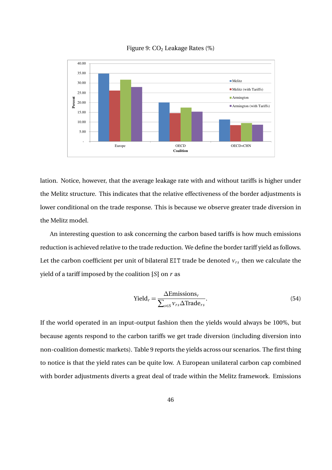

Figure 9:  $CO<sub>2</sub>$  Leakage Rates (%)

lation. Notice, however, that the average leakage rate with and without tariffs is higher under the Melitz structure. This indicates that the relative effectiveness of the border adjustments is lower conditional on the trade response. This is because we observe greater trade diversion in the Melitz model.

An interesting question to ask concerning the carbon based tariffs is how much emissions reduction is achieved relative to the trade reduction. We define the border tariff yield as follows. Let the carbon coefficient per unit of bilateral EIT trade be denoted  $v_{rs}$  then we calculate the yield of a tariff imposed by the coalition {*S*} on *r* as

$$
Yieldr = \frac{\Delta \text{Emissions}_{r}}{\sum_{s \in S} \nu_{rs} \Delta \text{Trade}_{rs}}.
$$
\n(54)

If the world operated in an input-output fashion then the yields would always be 100%, but because agents respond to the carbon tariffs we get trade diversion (including diversion into non-coalition domestic markets). Table 9 reports the yields across our scenarios. The first thing to notice is that the yield rates can be quite low. A European unilateral carbon cap combined with border adjustments diverts a great deal of trade within the Melitz framework. Emissions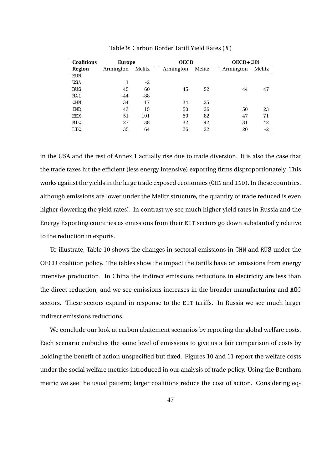| <b>Coalitions</b> | Europe    |        |           | <b>OECD</b> |           | OECD+CHN |
|-------------------|-----------|--------|-----------|-------------|-----------|----------|
| <b>Region</b>     | Armington | Melitz | Armington | Melitz      | Armington | Melitz   |
| <b>EUR</b>        |           |        |           |             |           |          |
| USA               |           | $-2$   |           |             |           |          |
| RUS               | 45        | 60     | 45        | 52          | 44        | 47       |
| RA1               | $-44$     | $-88$  |           |             |           |          |
| <b>CHN</b>        | 34        | 17     | 34        | 25          |           |          |
| IND               | 43        | 15     | 50        | 26          | 50        | 23       |
| EEX               | 51        | 101    | 50        | 82          | 47        | 71       |
| MIC               | 27        | 38     | 32        | 42          | 31        | 42       |
| LIC               | 35        | 64     | 26        | 22          | 20        | $-2$     |

Table 9: Carbon Border Tariff Yield Rates (%)

in the USA and the rest of Annex 1 actually rise due to trade diversion. It is also the case that the trade taxes hit the efficient (less energy intensive) exporting firms disproportionately. This works against the yields in the large trade exposed economies (CHN and IND). In these countries, although emissions are lower under the Melitz structure, the quantity of trade reduced is even higher (lowering the yield rates). In contrast we see much higher yield rates in Russia and the Energy Exporting countries as emissions from their EIT sectors go down substantially relative to the reduction in exports.

To illustrate, Table 10 shows the changes in sectoral emissions in CHN and RUS under the OECD coalition policy. The tables show the impact the tariffs have on emissions from energy intensive production. In China the indirect emissions reductions in electricity are less than the direct reduction, and we see emissions increases in the broader manufacturing and AOG sectors. These sectors expand in response to the EIT tariffs. In Russia we see much larger indirect emissions reductions.

We conclude our look at carbon abatement scenarios by reporting the global welfare costs. Each scenario embodies the same level of emissions to give us a fair comparison of costs by holding the benefit of action unspecified but fixed. Figures 10 and 11 report the welfare costs under the social welfare metrics introduced in our analysis of trade policy. Using the Bentham metric we see the usual pattern; larger coalitions reduce the cost of action. Considering eq-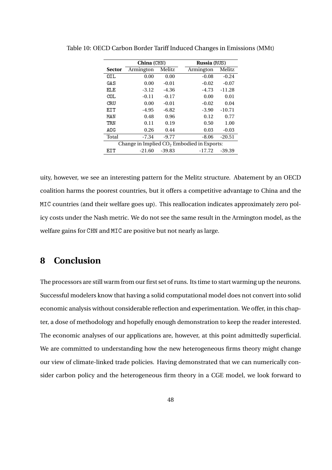|                                              | China (CHN) |          | Russia (RUS) |          |  |  |
|----------------------------------------------|-------------|----------|--------------|----------|--|--|
| <b>Sector</b>                                | Armington   | Melitz   | Armington    | Melitz   |  |  |
| OIL                                          | 0.00        | 0.00     | $-0.08$      | $-0.24$  |  |  |
| GAS                                          | 0.00        | $-0.01$  | $-0.02$      | $-0.07$  |  |  |
| EL E                                         | $-3.12$     | $-4.36$  | $-4.73$      | $-11.28$ |  |  |
| COL.                                         | $-0.11$     | $-0.17$  | 0.00         | 0.01     |  |  |
| CRU                                          | 0.00        | $-0.01$  | $-0.02$      | 0.04     |  |  |
| <b>FTT</b>                                   | $-4.95$     | $-6.82$  | $-3.90$      | $-10.71$ |  |  |
| MAN                                          | 0.48        | 0.96     | 0.12         | 0.77     |  |  |
| <b>TRN</b>                                   | 0.11        | 0.19     | 0.50         | 1.00     |  |  |
| AOG                                          | 0.26        | 0.44     | 0.03         | $-0.03$  |  |  |
| Total                                        | $-7.34$     | $-9.77$  | $-8.06$      | $-20.51$ |  |  |
| Change in Implied $CO2$ Embodied in Exports: |             |          |              |          |  |  |
| EIT                                          | $-21.60$    | $-39.83$ | $-17.72$     | $-39.39$ |  |  |

Table 10: OECD Carbon Border Tariff Induced Changes in Emissions (MMt)

uity, however, we see an interesting pattern for the Melitz structure. Abatement by an OECD coalition harms the poorest countries, but it offers a competitive advantage to China and the MIC countries (and their welfare goes up). This reallocation indicates approximately zero policy costs under the Nash metric. We do not see the same result in the Armington model, as the welfare gains for CHN and MIC are positive but not nearly as large.

## **8 Conclusion**

The processors are still warm from our first set of runs. Its time to start warming up the neurons. Successful modelers know that having a solid computational model does not convert into solid economic analysis without considerable reflection and experimentation. We offer, in this chapter, a dose of methodology and hopefully enough demonstration to keep the reader interested. The economic analyses of our applications are, however, at this point admittedly superficial. We are committed to understanding how the new heterogeneous firms theory might change our view of climate-linked trade policies. Having demonstrated that we can numerically consider carbon policy and the heterogeneous firm theory in a CGE model, we look forward to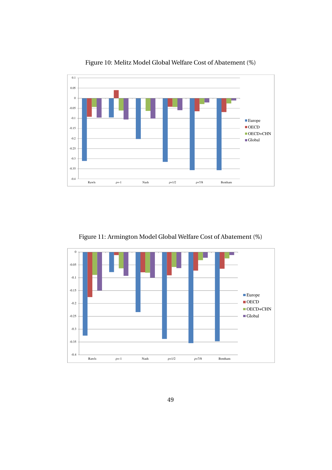

Figure 10: Melitz Model Global Welfare Cost of Abatement (%)

Figure 11: Armington Model Global Welfare Cost of Abatement (%)

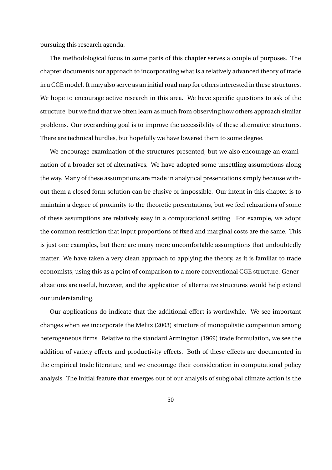pursuing this research agenda.

The methodological focus in some parts of this chapter serves a couple of purposes. The chapter documents our approach to incorporating what is a relatively advanced theory of trade in a CGE model. It may also serve as an initial road map for others interested in these structures. We hope to encourage active research in this area. We have specific questions to ask of the structure, but we find that we often learn as much from observing how others approach similar problems. Our overarching goal is to improve the accessibility of these alternative structures. There are technical hurdles, but hopefully we have lowered them to some degree.

We encourage examination of the structures presented, but we also encourage an examination of a broader set of alternatives. We have adopted some unsettling assumptions along the way. Many of these assumptions are made in analytical presentations simply because without them a closed form solution can be elusive or impossible. Our intent in this chapter is to maintain a degree of proximity to the theoretic presentations, but we feel relaxations of some of these assumptions are relatively easy in a computational setting. For example, we adopt the common restriction that input proportions of fixed and marginal costs are the same. This is just one examples, but there are many more uncomfortable assumptions that undoubtedly matter. We have taken a very clean approach to applying the theory, as it is familiar to trade economists, using this as a point of comparison to a more conventional CGE structure. Generalizations are useful, however, and the application of alternative structures would help extend our understanding.

Our applications do indicate that the additional effort is worthwhile. We see important changes when we incorporate the Melitz (2003) structure of monopolistic competition among heterogeneous firms. Relative to the standard Armington (1969) trade formulation, we see the addition of variety effects and productivity effects. Both of these effects are documented in the empirical trade literature, and we encourage their consideration in computational policy analysis. The initial feature that emerges out of our analysis of subglobal climate action is the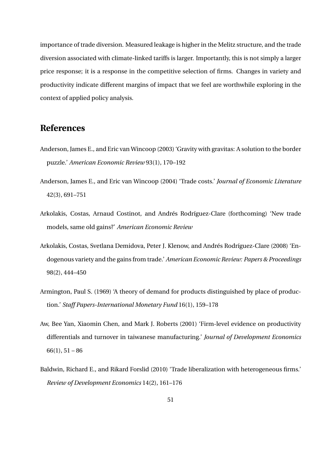importance of trade diversion. Measured leakage is higher in the Melitz structure, and the trade diversion associated with climate-linked tariffs is larger. Importantly, this is not simply a larger price response; it is a response in the competitive selection of firms. Changes in variety and productivity indicate different margins of impact that we feel are worthwhile exploring in the context of applied policy analysis.

## **References**

- Anderson, James E., and Eric van Wincoop (2003) 'Gravity with gravitas: A solution to the border puzzle.' *American Economic Review* 93(1), 170–192
- Anderson, James E., and Eric van Wincoop (2004) 'Trade costs.' *Journal of Economic Literature* 42(3), 691–751
- Arkolakis, Costas, Arnaud Costinot, and Andrés Rodríguez-Clare (forthcoming) 'New trade models, same old gains?' *American Economic Review*
- Arkolakis, Costas, Svetlana Demidova, Peter J. Klenow, and Andrés Rodríguez-Clare (2008) 'Endogenous variety and the gains from trade.' *American Economic Review: Papers & Proceedings* 98(2), 444–450
- Armington, Paul S. (1969) 'A theory of demand for products distinguished by place of production.' *Staff Papers-International Monetary Fund* 16(1), 159–178
- Aw, Bee Yan, Xiaomin Chen, and Mark J. Roberts (2001) 'Firm-level evidence on productivity differentials and turnover in taiwanese manufacturing.' *Journal of Development Economics*  $66(1), 51-86$
- Baldwin, Richard E., and Rikard Forslid (2010) 'Trade liberalization with heterogeneous firms.' *Review of Development Economics* 14(2), 161–176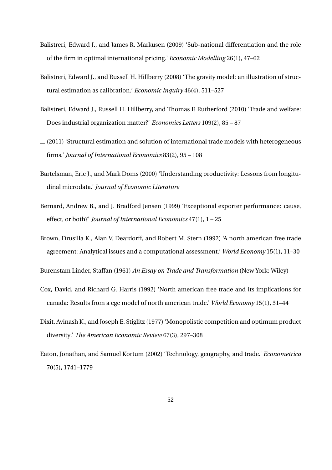- Balistreri, Edward J., and James R. Markusen (2009) 'Sub-national differentiation and the role of the firm in optimal international pricing.' *Economic Modelling* 26(1), 47–62
- Balistreri, Edward J., and Russell H. Hillberry (2008) 'The gravity model: an illustration of structural estimation as calibration.' *Economic Inquiry* 46(4), 511–527
- Balistreri, Edward J., Russell H. Hillberry, and Thomas F. Rutherford (2010) 'Trade and welfare: Does industrial organization matter?' *Economics Letters* 109(2), 85 – 87
- $(2011)$  'Structural estimation and solution of international trade models with heterogeneous firms.' *Journal of International Economics* 83(2), 95 – 108
- Bartelsman, Eric J., and Mark Doms (2000) 'Understanding productivity: Lessons from longitudinal microdata.' *Journal of Economic Literature*
- Bernard, Andrew B., and J. Bradford Jensen (1999) 'Exceptional exporter performance: cause, effect, or both?' *Journal of International Economics* 47(1), 1 – 25
- Brown, Drusilla K., Alan V. Deardorff, and Robert M. Stern (1992) 'A north american free trade agreement: Analytical issues and a computational assessment.' *World Economy* 15(1), 11–30

Burenstam Linder, Staffan (1961) *An Essay on Trade and Transformation* (New York: Wiley)

- Cox, David, and Richard G. Harris (1992) 'North american free trade and its implications for canada: Results from a cge model of north american trade.' *World Economy* 15(1), 31–44
- Dixit, Avinash K., and Joseph E. Stiglitz (1977) 'Monopolistic competition and optimum product diversity.' *The American Economic Review* 67(3), 297–308
- Eaton, Jonathan, and Samuel Kortum (2002) 'Technology, geography, and trade.' *Econometrica* 70(5), 1741–1779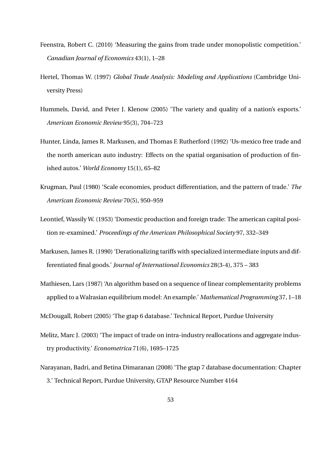- Feenstra, Robert C. (2010) 'Measuring the gains from trade under monopolistic competition.' *Canadian Journal of Economics* 43(1), 1–28
- Hertel, Thomas W. (1997) *Global Trade Analysis: Modeling and Applications* (Cambridge University Press)
- Hummels, David, and Peter J. Klenow (2005) 'The variety and quality of a nation's exports.' *American Economic Review* 95(3), 704–723
- Hunter, Linda, James R. Markusen, and Thomas F. Rutherford (1992) 'Us-mexico free trade and the north american auto industry: Effects on the spatial organisation of production of finished autos.' *World Economy* 15(1), 65–82
- Krugman, Paul (1980) 'Scale economies, product differentiation, and the pattern of trade.' *The American Economic Review* 70(5), 950–959
- Leontief, Wassily W. (1953) 'Domestic production and foreign trade: The american capital position re-examined.' *Proceedings of the American Philosophical Society* 97, 332–349
- Markusen, James R. (1990) 'Derationalizing tariffs with specialized intermediate inputs and differentiated final goods.' *Journal of International Economics* 28(3-4), 375 – 383
- Mathiesen, Lars (1987) 'An algorithm based on a sequence of linear complementarity problems applied to a Walrasian equilibrium model: An example.' *Mathematical Programming* 37, 1–18

McDougall, Robert (2005) 'The gtap 6 database.' Technical Report, Purdue University

- Melitz, Marc J. (2003) 'The impact of trade on intra-industry reallocations and aggregate industry productivity.' *Econometrica* 71(6), 1695–1725
- Narayanan, Badri, and Betina Dimaranan (2008) 'The gtap 7 database documentation: Chapter 3.' Technical Report, Purdue University, GTAP Resource Number 4164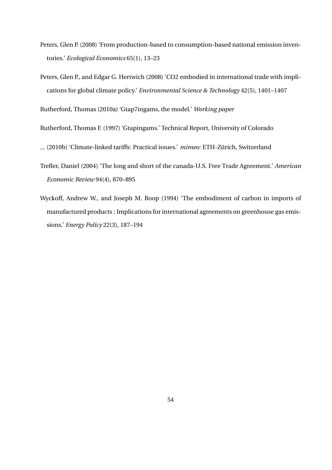- Peters, Glen P. (2008) 'From production-based to consumption-based national emission inventories.' *Ecological Economics* 65(1), 13–23
- Peters, Glen P., and Edgar G. Hertwich (2008) 'CO2 embodied in international trade with implications for global climate policy.' *Environmental Science & Technology* 42(5), 1401–1407

Rutherford, Thomas (2010a) 'Gtap7ingams, the model.' *Working paper*

Rutherford, Thomas F. (1997) 'Gtapingams.' Technical Report, University of Colorado

(2010b) 'Climate-linked tariffs: Practical issues.' *mimeo:* ETH-Zürich, Switzerland

- Trefler, Daniel (2004) 'The long and short of the canada-U.S. Free Trade Agreement.' *American Economic Review* 94(4), 870–895
- Wyckoff, Andrew W., and Joseph M. Roop (1994) 'The embodiment of carbon in imports of manufactured products : Implications for international agreements on greenhouse gas emissions.' *Energy Policy* 22(3), 187–194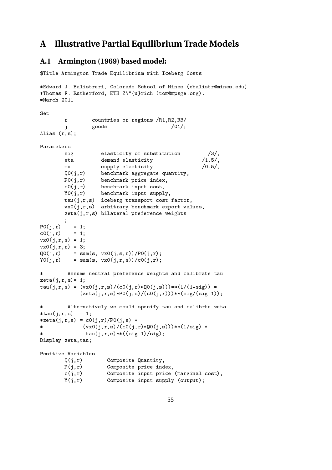## **A Illustrative Partial Equilibrium Trade Models**

### **A.1 Armington (1969) based model:**

```
$Title Armington Trade Equilibrium with Iceberg Costs
*Edward J. Balistreri, Colorado School of Mines (ebalistr@mines.edu)
*Thomas F. Rutherford, ETH Z\"{u}rich (tom@mpsge.org).
*March 2011
Set
       r countries or regions /R1,R2,R3/
       j goods /G1/;
Alias (r,s);
Parameters
       sig elasticity of substitution /3/,
       eta demand elasticity /1.5/,
       mu supply elasticity /0.5/,
       Q0(j,r) benchmark aggregate quantity,
       P0(j,r) benchmark price index,
       c0(j,r) benchmark input cost,
       Y0(j,r) benchmark input supply,
       tau(j,r,s) iceberg transport cost factor,
       vx0(j,r,s) arbitrary benchmark export values,
       zeta(j,r,s) bilateral preference weights
       ;
P0(j,r) = 1;c0(j,r) = 1;vx0(j,r,s) = 1;
vx0(j,r,r) = 3;
Q0(i,r) = sum(s, vx0(i,s,r))/P0(j,r);
Y0(j,r) = sum(s, vx0(j,r,s))/c0(j,r);* Assume neutral preference weights and calibrate tau
zeta(j,r,s)=1;tau(j,r,s) = (vx0(j,r,s)/(c0(j,r)*Q0(j,s)))**(1/(1-sig)) *
           (zeta(j,r,s)*P0(j,s)/(c0(j,r)))**(sig/(sig-1));Alternatively we could specify tau and calibrte zeta
*tau(j, r, s) = 1;
*zeta(j,r,s) = c0(j,r)/P0(j,s) ** (vx0(j,r,s)/(c0(j,r)*Q0(j,s)))**(1/sig) *
             tau(j,r,s)**((sig-1)/sig);Display zeta,tau;
Positive Variables
       Q(j,r) Composite Quantity,
       P(j,r) Composite price index,
       c(j,r) Composite input price (marginal cost),
       Y(j,r) Composite input supply (output);
```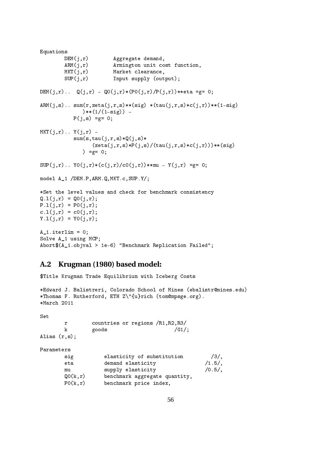```
Equations
       DEM(j,r) Aggregate demand,
       ARM(j,r) Armington unit cost function,
       MKT(j,r) Market clearance,
       SUP(j,r) Input supply (output);
DEM(j,r).. Q(j,r) - Q(0j,r)*(P0(j,r)/P(j,r))**eta = g= 0;ARM(j,s).. sum(r,zeta(j,r,s)**(sig) *(tau(j,r,s)*c(j,r))**(1-sig)(**(1/(1-sig)) -P(j,s) = g = 0;MKT(i,r).. Y(i,r) -
          sum(s, tau(j,r,s)*Q(j,s)*(zeta(j,r,s)*P(j,s)/(tau(j,r,s)*c(j,r)))**(sig)
             ) =g = 0;
SUP(j,r).. YO(j,r)*(c(j,r)/cO(j,r))**mu - Y(j,r) = g= 0;model A_1 /DEM.P,ARM.Q,MKT.c,SUP.Y/;
*Set the level values and check for benchmark consistency
Q.1(j,r) = Q0(j,r);P.l(j,r) = P0(j,r);c.l(j,r) = c0(j,r);Y.1(j,r) = Y0(j,r);A_1. iterlim = 0;
Solve A_1 using MCP;
Abort$(A_1.objval > 1e-6) "Benchmark Replication Failed";
```
#### **A.2 Krugman (1980) based model:**

```
$Title Krugman Trade Equilibrium with Iceberg Costs
```

```
*Edward J. Balistreri, Colorado School of Mines (ebalistr@mines.edu)
*Thomas F. Rutherford, ETH Z\"{u}rich (tom@mpsge.org).
*March 2011
Set
      r countries or regions /R1,R2,R3/
      k goods /G1;
Alias (r,s);
Parameters
      sig elasticity of substitution /3/,
```

| demand elasticity<br>eta                 | $/1.5/$ , |
|------------------------------------------|-----------|
| supply elasticity<br>mu                  | $/0.5/$ , |
| Q0(k,r)<br>benchmark aggregate quantity, |           |
| P0(k,r)<br>benchmark price index,        |           |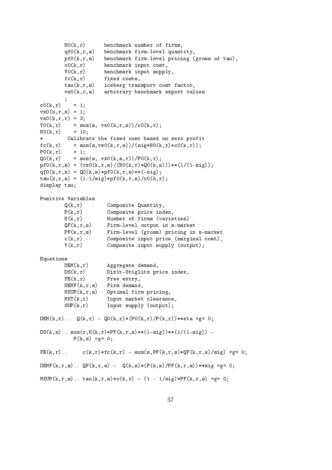$NO(k, r)$  benchmark number of firms, qf0(k,r,s) benchmark firm-level quantity, pf0(k,r,s) benchmark firm-level pricing (gross of tau),  $c0(k,r)$  benchmark input cost,  $Y0(k,r)$  benchmark input supply, fc(k,r) fixed costs, tau(k,r,s) iceberg transport cost factor, vx0(k,r,s) arbitrary benchmark export values ;  $c0(k,r) = 1;$  $vx0(k,r,s) = 1;$  $vx0(k,r,r) = 3;$  $Y0(k,r) = sum(s, vx0(k,r,s))/c0(k,r);$  $NO(k,r) = 10$ ; \* Calibrate the fixed cost based on zero profit  $fc(k,r) = sum(s, vx0(k,r,s))/(sig*NO(k,r)*c0(k,r));$  $P0(k,r) = 1;$  $Q0(k,r)$  = sum(s,  $vx0(k,s,r)$ )/P0(k,r); pf0(k,r,s) =  $(vx0(k,r,s)/(NO(k,r)*Q0(k,s)))**(1/(1-sig));$ qf0(k,r,s) =  $Q0(k,s)*p f0(k,r,s)$ \*\*(-sig);  $tau(k,r,s) = (1-1/sig) * pf0(k,r,s) / c0(k,r);$ display tau; Positive Variables Q(k,r) Composite Quantity, P(k,r) Composite price index, N(k,r) Number of firms (varieties) QF(k,r,s) Firm-level output in s-market PF(k,r,s) Firm-level (gross) pricing in s-market c(k,r) Composite input price (marginal cost), Y(k,r) Composite input supply (output); Equations DEM(k, r) Aggregate demand, DS(k,r) Dixit-Stiglitz price index,  $FE(k,r)$  Free entry, DEMF(k,r,s) Firm demand, MKUP(k,r,s) Optimal firm pricing, MKT(k,r) Input market clearance, SUP(k,r) Input supply (output); DEM(k,r)..  $Q(k,r) - Q0(k,r)*(P0(k,r)/P(k,r))**eta = g= 0;$  $DS(k, s)$ ..  $sum(r, N(k, r) * PF(k, r, s) * *(1-sig)) * *(1/(1-sig))$  - $P(k, s) = g = 0;$  $FE(k,r)$ . c(k,r)\*fc(k,r) - sum(s,PF(k,r,s)\*QF(k,r,s)/sig) =g= 0; DEMF(k,r,s).. QF(k,r,s) -  $Q(k,s)*(P(k,s)/PF(k,r,s))**sig = g = 0;$  $MKUP(k,r,s)$ .. tau $(k,r,s)*(c(k,r) - (1 - 1/sig)*PF(k,r,s) = g= 0;$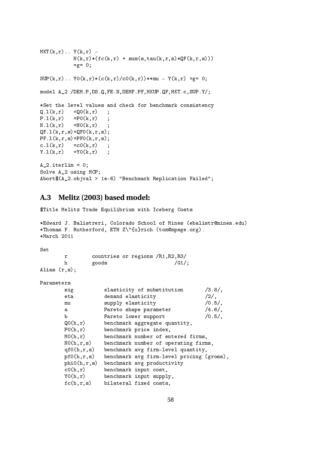```
MKT(k,r).. Y(k,r) -
          N(k,r)*(fc(k,r) + sum(s,tau(k,r,s)*(QF(k,r,s)))=g= 0;SUP(k,r).. YO(k,r)*(c(k,r)/c0(k,r))**mu - Y(k,r) =g= 0;
model A_2 /DEM.P,DS.Q,FE.N,DEMF.PF,MKUP.QF,MKT.c,SUP.Y/;
*Set the level values and check for benchmark consistency
Q.1(k,r) = Q0(k,r);
P.1(k,r) = P0(k,r) ;
N.1(k,r) = NO(k,r) ;
QF.1(k,r,s)=QF0(k,r,s);PF.1(k,r,s)=PF0(k,r,s);c.1(k,r) = c0(k,r);
Y.1(k,r) = Y0(k,r);
A_2.iterlim = 0;
Solve A_2 using MCP;
Abort$(A_2.objval > 1e-6) "Benchmark Replication Failed";
```
### **A.3 Melitz (2003) based model:**

\$Title Melitz Trade Equilibrium with Iceberg Costs

```
*Edward J. Balistreri, Colorado School of Mines (ebalistr@mines.edu)
*Thomas F. Rutherford, ETH Z\"{u}rich (tom@mpsge.org).
*March 2011
```
Set

|                  |       |  | countries or regions /R1, R2, R3/ |
|------------------|-------|--|-----------------------------------|
|                  | goods |  | /G1/                              |
| Alias $(r, s)$ ; |       |  |                                   |

Parameters

| sig          | $/3.8/$ ,<br>elasticity of substitution   |  |
|--------------|-------------------------------------------|--|
| eta          | demand elasticity<br>$/2/$ ,              |  |
| mu           | $/0.5/$ ,<br>supply elasticity            |  |
| a            | $/4.6/$ .<br>Pareto shape parameter       |  |
| b            | $/0.5/$ ,<br>Pareto lower support         |  |
| Q0(h,r)      | benchmark aggregate quantity,             |  |
| P0(h,r)      | benchmark price index,                    |  |
| MO(h,r)      | benchmark number of entered firms,        |  |
| NO(h,r,s)    | benchmark number of operating firms,      |  |
| qf0(h,r,s)   | benchmark avg firm-level quantity,        |  |
| pf0(h,r,s)   | benchmark avg firm-level pricing (gross), |  |
| phi(0, r, s) | benchmark avg productivity                |  |
| c0(h,r)      | benchmark input cost,                     |  |
| YO(h,r)      | benchmark input supply,                   |  |
| fc(h,r,s)    | bilateral fixed costs,                    |  |
|              |                                           |  |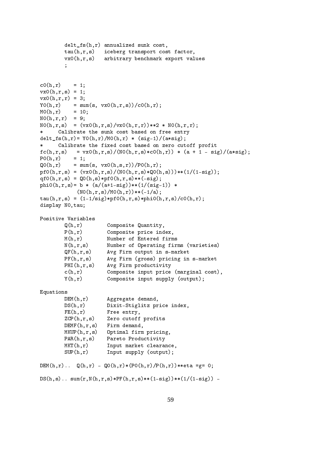```
delt_fs(h,r) annualized sunk cost,
       tau(h,r,s) iceberg transport cost factor,
       vx0(h,r,s) arbitrary benchmark export values
       ;
c0(h,r) = 1;vx0(h,r,s) = 1;vx0(h,r,r) = 3;Y0(h,r) = sum(s, vx0(h,r,s))/c0(h,r);
MO(h,r) = 10;NO(h,r,r) = 9;N0(h,r,s) = (vx0(h,r,s)/vx0(h,r,r))**2 * N0(h,r,r);* Calibrate the sunk cost based on free entry
delt_fs(h,r)= Y0(h,r)/M0(h,r) * (sig-1)/(a*sig);
* Calibrate the fixed cost based on zero cutoff profit
f_c(h,r,s) = \frac{vx0(h,r,s)}{(NO(h,r,s)*c0(h,r))} * (a + 1 - sig)/(a * sig);P0(h,r) = 1;Q0(h,r) = sum(s, vx0(h,s,r))/P0(h,r);
pf0(h,r,s) = (vx0(h,r,s)/(NO(h,r,s)*Q0(h,s)))**(1/(1-sig));qf0(h,r,s) = QO(h,s)*pfO(h,r,s)**(-sig);phi0(h,r,s)= b * (a/(a+1-sig))**(1/(sig-1)) *
           (N0(h,r,s)/MO(h,r))**(-1/a);tau(h,r,s) = (1-1/sig) * pf0(h,r,s) * phi0(h,r,s) / c0(h,r);display N0,tau;
Positive Variables
       Q(h,r) Composite Quantity,
       P(h,r) Composite price index,
       M(h,r) Number of Entered firms
       N(h,r,s) Number of Operating firms (varieties)
       QF(h,r,s) Avg Firm output in s-market
       PF(h,r,s) Avg Firm (gross) pricing in s-market
       PHI(h,r,s) Avg Firm productivity
       c(h,r) Composite input price (marginal cost),
       Y(h,r) Composite input supply (output);
Equations
       DEM(h,r) Aggregate demand,
       DS(h,r) Dixit-Stiglitz price index,
       FE(h,r) Free entry,
       ZCP(h,r,s) Zero cutoff profits
       DEMF(h,r,s) Firm demand,
       MKUP(h,r,s) Optimal firm pricing,
       PAR(h,r,s) Pareto Productivity
       MKT(h,r) Input market clearance,
       SUP(h,r) Input supply (output);
DEM(h,r).. Q(h,r) - Q(0,h,r) * (P(0,h,r))<sup>**</sup>eta =g= 0;
DS(h,s).. sum(r, N(h,r,s)*PF(h,r,s)*(1-sig))**(1/(1-sig)) -
```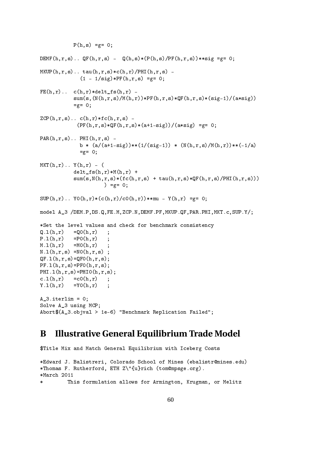```
P(h, s) = g = 0;DEMF(h,r,s).. QF(h,r,s) - Q(h,s)*(P(h,s)/PF(h,r,s))**sig = g = 0;MKUP(h,r,s).. tau(h,r,s)*(c(h,r)/PHI(h,r,s) -
             (1 - 1/sig) * PF(h, r, s) = g = 0;FE(h,r).. c(h,r)*delta\_fs(h,r) -
           sum(s,(N(h,r,s)/M(h,r))*PF(h,r,s)*QF(h,r,s)*(sig-1)/(a*sig))=g= 0;ZCP(h,r,s).. c(h,r)*fc(h,r,s) -
            (PF(h,r,s)*QF(h,r,s)*(a+1-sig))/(a*sig) = g = 0;PAR(h, r, s).. PHI(h, r, s) -
             b * (a/(a+1-sig))**(1/(sig-1)) * (N(h,r,s)/M(h,r))**(-1/a)=g= 0;MKT(h,r).. Y(h,r) - (
           del_{fs}(h,r)*M(h,r) +sum(s, N(h, r, s)*(fc(h, r, s) + tau(h, r, s)*QF(h, r, s)/PHI(h, r, s)))) =g= 0;SUP(h,r).. YO(h,r)*(c(h,r)/c0(h,r))**mu - Y(h,r) = g= 0;model A_3 /DEM.P,DS.Q,FE.M,ZCP.N,DEMF.PF,MKUP.QF,PAR.PHI,MKT.c,SUP.Y/;
*Set the level values and check for benchmark consistency
Q.1(h,r) = Q0(h,r);
P.1(h,r) = P0(h,r) ;
M.1(h,r) = MO(h,r);
N.1(h,r,s) = NO(h,r,s);
QF.1(h,r,s)=QF0(h,r,s);PF.1(h,r,s)=PF0(h,r,s);PHI.1(h,r,s)=PHI0(h,r,s);c.l(h,r) = c0(h,r);
Y.1(h,r) = Y0(h,r);
A_3. iterlim = 0;
Solve A_3 using MCP;
Abort$(A_3.objval > 1e-6) "Benchmark Replication Failed";
```
## **B Illustrative General Equilibrium Trade Model**

```
$Title Mix and Match General Equilibrium with Iceberg Costs
*Edward J. Balistreri, Colorado School of Mines (ebalistr@mines.edu)
*Thomas F. Rutherford, ETH Z\"{u}rich (tom@mpsge.org).
*March 2011
         This formulation allows for Armington, Krugman, or Melitz
```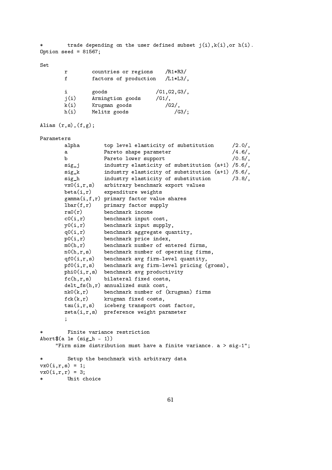```
trade depending on the user defined subset j(i), k(i), or h(i).
Option seed = 81567;
Set
      r countries or regions /R1*R3/
      f factors of production /L1*L3/,
       i goods /G1,G2,G3/,
       j(i) Armingtion goods /G1/,
      k(i) Krugman goods /G2/,
      h(i) Melitz goods /G3/;
Alias (r,s), (f,g);
Parameters
      alpha top level elasticity of substitution /2.0/,
       a Pareto shape parameter /4.6/,
      b Pareto lower support (0.5/,
       sig_j industry elasticity of substitution (a+1) /5.6/,
       sig_k industry elasticity of substitution (a+1) /5.6/,
       sig_h industry elasticity of substitution /3.8/,
      vx0(i,r,s) arbitrary benchmark export values
      beta(i,r) expenditure weights
      gamma(i,f,r) primary factor value shares
      lbar(f,r) primary factor supply
      ra0(r) benchmark income
      c0(i,r) benchmark input cost,
      y0(i,r) benchmark input supply,
      q0(i,r) benchmark aggregate quantity,
      p0(i,r) benchmark price index,
      m(0,h,r) benchmark number of entered firms,
      n0(h,r,s) benchmark number of operating firms,
      qf0(i,r,s) benchmark avg firm-level quantity,
      pf0(i,r,s) benchmark avg firm-level pricing (gross),
      phi0(i,r,s) benchmark avg productivity
      fc(h,r,s) bilateral fixed costs,
      delt fs(h,r) annualized sunk cost,
      nk0(k,r) benchmark number of (krugman) firms
      fck(k,r) krugman fixed costs,
      tau(i,r,s) iceberg transport cost factor,
      zeta(i,r,s) preference weight parameter
       ;
       Finite variance restriction
Abort$(a le (sig_h - 1))
    "Firm size distribution must have a finite variance. a > sig-1";
        Setup the benchmark with arbitrary data
vx0(i.r.s) = 1;
vx0(i,r,r) = 3;Unit choice
```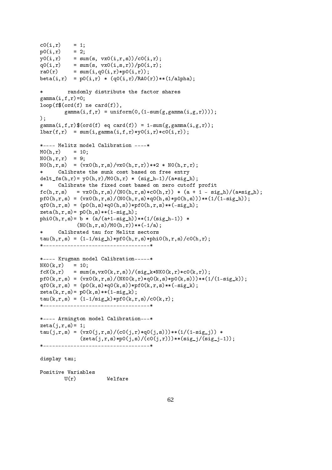```
c0(i,r) = 1;p0(i,r) = 2;y0(i,r) = sum(s, vx0(i,r,s))/c0(i,r);q0(i,r) = sum(s, vx0(i,s,r))/p0(i,r);
ra0(r) = sum(i,q0(i,r)*p0(i,r));beta(i,r) = p0(i,r) * (q0(i,r)/RAO(r)) * (1/alpha);* randomly distribute the factor shares
gamma(i,f,r)=0;
loop(f$(ord(f) ne card(f)),
       gamma(i,f,r) = uniform(0,(1-sum(g,gamma(i,g,r))));
);
gamma(i,f,r)$(ord(f) eq card(f)) = 1-sum(g,gamma(i,g,r));
lbar(f,r) = sum(i, gamma(i, f, r) * v0(i, r) * c0(i, r));*---- Melitz model Calibration ----*
MO(h, r) = 10;N0(h,r,r) = 9;N0(h,r,s) = (vx0(h,r,s)/vx0(h,r,r))**2 * N0(h,r,r);Calibrate the sunk cost based on free entry
delt_fs(h,r)= y0(h,r)/M0(h,r) * (sig_h-1)/(a*sig_h);
* Calibrate the fixed cost based on zero cutoff profit
f(c(h,r,s) = vx0(h,r,s)/(NO(h,r,s)*c0(h,r)) * (a + 1 - sig_h)/(a * sig_h);pf0(h,r,s) = (vx0(h,r,s)/(N0(h,r,s)*q0(h,s)*p0(h,s)))**(1/(1-sig_h));qf0(h,r,s) = (p0(h,s)*q0(h,s))*pf0(h,r,s)**(-sig_h);zeta(h,r,s) = p0(h,s)** (1-sig_h);phi0(h,r,s)= b * (a/(a+1-sig_h))**(1/(sig_h-1)) *
           (N0(h,r,s)/M0(h,r))**(-1/a);* Calibrated tau for Melitz sectors
tau(h,r,s) = (1-1/sig_h)*pf0(h,r,s)*phi0(h,r,s)/c0(h,r);*-----------------------------------*
*---- Krugman model Calibration-----*
NKO(k,r) = 10;fcK(k,r) = sum(s,vx0(k,r,s))/(sig_k*NKO(k,r)*c0(k,r));pf0(k,r,s) = (vx0(k,r,s)/(NK0(k,r)*q0(k,s)*p0(k,s)))**(1/(1-sigk));qf0(k,r,s) = (p0(k,s)*q0(k,s))*pf0(k,r,s)**(-sig_k);zeta(k,r,s) = p0(k,s) * * (1-sig_k);tau(k,r,s) = (1-1/sig_k)*pf0(k,r,s)/c0(k,r);*-----------------------------------*
*---- Armington model Calibration---*
zeta(j,r,s)=1;tau(j,r,s) = (vx0(j,r,s)/(c0(j,r)*q0(j,s)))**(1/(1-sig_j)) *
            (zeta(j,r,s)*p0(j,s)/(c0(j,r)))**(sig_j/(sig_j-1));*-----------------------------------*
display tau;
Positive Variables
       U(r) Welfare
```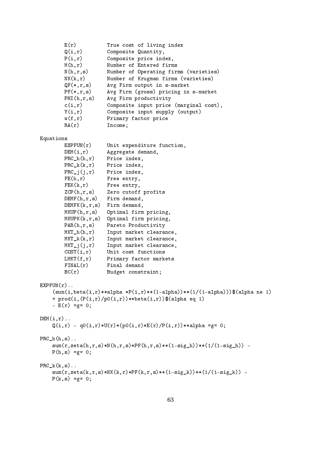| E(r)<br>Q(i,r)<br>P(i,r)<br>M(h,r)<br>N(h,r,s)<br>NK(k, r)<br>$QF(*,r,s)$<br>$PF(*,r,s)$<br>PHI(h, r, s)<br>c(i,r)<br>Y(i,r)<br>w(f,r)<br>RA(r)                                                                                                                                                       | True cost of living index<br>Composite Quantity,<br>Composite price index,<br>Number of Entered firms<br>Number of Operating firms (varieties)<br>Number of Krugman firms (varieties)<br>Avg Firm output in s-market<br>Avg Firm (gross) pricing in s-market<br>Avg Firm productivity<br>Composite input price (marginal cost),<br>Composite input supply (output)<br>Primary factor price<br>Income;                                 |
|-------------------------------------------------------------------------------------------------------------------------------------------------------------------------------------------------------------------------------------------------------------------------------------------------------|---------------------------------------------------------------------------------------------------------------------------------------------------------------------------------------------------------------------------------------------------------------------------------------------------------------------------------------------------------------------------------------------------------------------------------------|
|                                                                                                                                                                                                                                                                                                       |                                                                                                                                                                                                                                                                                                                                                                                                                                       |
| Equations<br>EXPFUN(r)<br>DEM(i,r)<br>$PRC_h(h,r)$<br>$PRC_k(k,r)$<br>$PRC_j(j,r)$<br>FE(h,r)<br>FEK(k, r)<br>ZCP(h,r,s)<br>DEMF(h,r,s)<br>DEMFK(k,r,s)<br>MKUP(h,r,s)<br>MKUPK(k,r,s)<br>PAR(h,r,s)<br>$MKT_h(h,r)$<br>$MKT_k(k,r)$<br>$MKT_{j}(j,r)$<br>COST(i,r)<br>LMKT(f,r)<br>FINAL(r)<br>BC(r) | Unit expenditure function,<br>Aggregate demand,<br>Price index,<br>Price index,<br>Price index,<br>Free entry,<br>Free entry,<br>Zero cutoff profits<br>Firm demand,<br>Firm demand,<br>Optimal firm pricing,<br>Optimal firm pricing,<br>Pareto Productivity<br>Input market clearance,<br>Input market clearance,<br>Input market clearance,<br>Unit cost functions<br>Primary factor markets<br>Final demand<br>Budget constraint; |
| $EXPFUN(r)$<br>- $E(r) = g = 0;$                                                                                                                                                                                                                                                                      | $(sum(i,beta(i,r)**alpha *P(i,r)**(1-alpha))**(1/(1-alpha)))$ \$(alpha ne 1)<br>+ prod(i,(P(i,r)/p0(i,r))**beta(i,r))\$(alpha eq 1)                                                                                                                                                                                                                                                                                                   |
| $DEM(i, r)$                                                                                                                                                                                                                                                                                           | $Q(i,r) - q0(i,r)*U(r)*(p0(i,r)*E(r)/P(i,r))**alpha = g= 0;$                                                                                                                                                                                                                                                                                                                                                                          |
| $PRC_h(h,s)$<br>$P(h, s) = g = 0;$                                                                                                                                                                                                                                                                    | $sum(r, zeta(h, r, s) * N(h, r, s) * PF(h, r, s) * *(1-sig_h)) * *(1/(1-sig_h)) -$                                                                                                                                                                                                                                                                                                                                                    |
| $PRC_k(k,s)$<br>$P(k, s) = g = 0;$                                                                                                                                                                                                                                                                    | $sum(r, zeta(k, r, s) * NK(k, r) * PF(k, r, s) * *(1-sig_k) * *(1/(1-sig_k)) -$                                                                                                                                                                                                                                                                                                                                                       |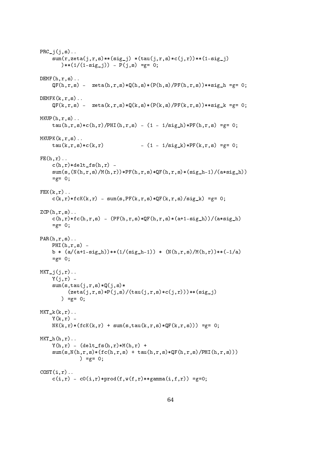```
PRC_j(j,s)..
    sum(r, zeta(j, r, s)**(sig_j) * (tau(j, r, s)*c(j, r))**(1-sig_j)(**(1/(1-sig_i)) - P(i,s) = g = 0;DEMF(h,r,s)..
    QF(h,r,s) - zeta(h,r,s)*Q(h,s)*(P(h,s)/PF(h,r,s))**sig_h = g = 0;DEMFK(k,r,s)...
    \label{eq:QF} \texttt{QF}(k,r,s) \texttt{ -} \texttt{zeta}(k,r,s)*\texttt{Q}(k,s)*(P(k,s)/PF(k,r,s))**sig_k = g = 0;MKUP(h,r,s)..
    tau(h,r,s)*c(h,r)/PHI(h,r,s) - (1 - 1/sig_h)*PF(h,r,s) = g= 0;MKUPK(k,r,s)..
    tau(k,r,s)*c(k,r) - (1 - 1/sig_k)*PF(k,r,s) = g = 0;FE(h,r)..
    c(h,r)*delta_ffs(h,r) -sum(s,(N(h,r,s)/M(h,r))*PF(h,r,s)*QF(h,r,s)*(sig_h-1)/(a*sig_h))=g= 0;FEK(k,r)..
    c(k,r)*fck(k,r) - sum(s, PF(k,r,s)*QF(k,r,s)/sig_k) = g = 0;ZCP(h,r,s)..
    c(h,r)*fc(h,r,s) - (PF(h,r,s)*QF(h,r,s)*(a+1-sig_h))/(a*sig_h)=g= 0;PAR(h,r,s)..
    PHI(h,r,s) -
    b * (a/(a+1-sig_h))**(1/(sig_h-1)) * (N(h,r,s)/M(h,r))**(-1/a)=g= 0;MKT_{i}(j,r)...
    Y(j,r) -
    sum(s, tau(j, r, s) * Q(j, s) *(zeta(j,r,s)*P(j,s)/(tau(j,r,s)*c(j,r)))**(sig_j)) =g = 0;
MKT_k(k,r)..
    Y(k,r) -
    NK(k, r)*(fcK(k, r) + sum(s, tau(k, r, s)*(QF(k, r, s))) = g= 0;MKT_h(h,r)..
    Y(h,r) - (delta_f f_s(h,r) * M(h,r) +sum(s, N(h, r, s)*(fc(h, r, s) + tau(h, r, s)*QF(h, r, s)/PHI(h, r, s)))) =g= 0;COST(i,r)..
    c(i,r) - c0(i,r) * prod(f,w(f,r) * *gamma(i,f,r)) = g=0;
```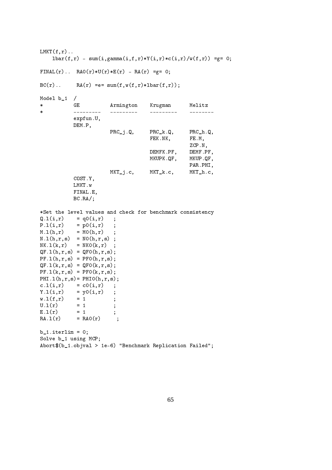$LMKT(f,r)$ ..  $lbar(f,r)$  - sum(i,gamma(i,f,r)\*Y(i,r)\*c(i,r)/w(f,r)) =g= 0; FINAL(r).. RA0(r)\*U(r)\*E(r) - RA(r) =g= 0;  $BC(r)$ .. RA(r) = e = sum(f,w(f,r)\*lbar(f,r)); Model b\_1 / \* GE Armington Krugman Melitz \* --------- --------- --------- ------- expfun.U, DEM.P,  $PRC_i, Q, PRC_k, Q, PRC_h, Q,$ FEK.NK, FE.M, ZCP.N, DEMFK.PF, DEMF.PF, MKUPK.QF, MKUP.QF, PAR.PHI, MKT<sub>-</sub>j.c, MKT<sub>-</sub>k.c, MKT<sub>-</sub>h.c, COST.Y, LMKT.w FINAL.E, BC.RA/; \*Set the level values and check for benchmark consistency  $Q.1(i,r) = q0(i,r)$ ;  $P.l(i,r) = p0(i,r)$ ;  $M.L(h,r) = MO(h,r)$ ;  $N.1(h,r,s) = NO(h,r,s)$ ;  $NK.1(k,r) = NK0(k,r)$ ;  $QF.1(h,r,s) = QF0(h,r,s);$  $PF.1(h, r, s) = PF0(h, r, s);$  $QF.1(k, r, s) = QF0(k, r, s);$  $PF.1(k,r,s) = PF0(k,r,s);$ PHI.1 $(h, r, s) =$  PHIO $(h, r, s)$ ;  $c.l(i,r) = c0(i,r)$ ;  $Y.1(i,r) = y0(i,r)$ ;  $w.l(f,r) = 1$  ;  $U.1(r) = 1$  ; E.  $1(r) = 1$  ;  $RA.1(r)$  =  $RAO(r)$  ;  $b_1$ .iterlim = 0; Solve b\_1 using MCP; Abort\$(b\_1.objval > 1e-6) "Benchmark Replication Failed";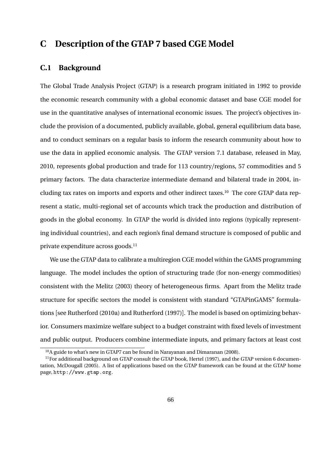## **C Description of the GTAP 7 based CGE Model**

### **C.1 Background**

The Global Trade Analysis Project (GTAP) is a research program initiated in 1992 to provide the economic research community with a global economic dataset and base CGE model for use in the quantitative analyses of international economic issues. The project's objectives include the provision of a documented, publicly available, global, general equilibrium data base, and to conduct seminars on a regular basis to inform the research community about how to use the data in applied economic analysis. The GTAP version 7.1 database, released in May, 2010, represents global production and trade for 113 country/regions, 57 commodities and 5 primary factors. The data characterize intermediate demand and bilateral trade in 2004, including tax rates on imports and exports and other indirect taxes.<sup>10</sup> The core GTAP data represent a static, multi-regional set of accounts which track the production and distribution of goods in the global economy. In GTAP the world is divided into regions (typically representing individual countries), and each region's final demand structure is composed of public and private expenditure across goods.<sup>11</sup>

We use the GTAP data to calibrate a multiregion CGE model within the GAMS programming language. The model includes the option of structuring trade (for non-energy commodities) consistent with the Melitz (2003) theory of heterogeneous firms. Apart from the Melitz trade structure for specific sectors the model is consistent with standard "GTAPinGAMS" formulations [see Rutherford (2010a) and Rutherford (1997)]. The model is based on optimizing behavior. Consumers maximize welfare subject to a budget constraint with fixed levels of investment and public output. Producers combine intermediate inputs, and primary factors at least cost

<sup>10</sup>A guide to what's new in GTAP7 can be found in Narayanan and Dimaranan (2008).

 $11$  For additional background on GTAP consult the GTAP book, Hertel (1997), and the GTAP version 6 documentation, McDougall (2005). A list of applications based on the GTAP framework can be found at the GTAP home page, http://www.gtap.org.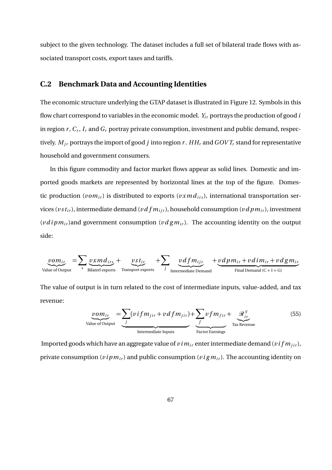subject to the given technology. The dataset includes a full set of bilateral trade flows with associated transport costs, export taxes and tariffs.

### **C.2 Benchmark Data and Accounting Identities**

The economic structure underlying the GTAP dataset is illustrated in Figure 12. Symbols in this flow chart correspond to variables in the economic model.  $Y_i$  portrays the production of good  $i$ in region *r* , *C<sup>r</sup>* , *I <sup>r</sup>* and *G<sup>r</sup>* portray private consumption, investment and public demand, respectively.  $M_{ir}$  portrays the import of good *j* into region *r*.  $HH_r$  and  $GOVT_r$  stand for representative household and government consumers.

In this figure commodity and factor market flows appear as solid lines. Domestic and imported goods markets are represented by horizontal lines at the top of the figure. Domestic production ( $vom_{ir}$ ) is distributed to exports ( $vxm d_{irs}$ ), international transportation services ( $v s t_{ir}$ ), intermediate demand ( $v d f m_{ir}$ ), household consumption ( $v d p m_{ir}$ ), investment (*v d i p m*<sub>ir</sub>)and government consumption (*v d g m*<sub>ir</sub>). The accounting identity on the output side:

$$
\underbrace{von_{ir}}_{\text{Value of Output}} = \sum_{s} \underbrace{vxmd_{irs}}_{\text{Bilateral exports}} + \underbrace{vst_{ir}}_{\text{Transport exports}} + \sum_{j} \underbrace{vdfm_{ijr}}_{\text{Internetiate Demand}} + \underbrace{vdpm_{ir} + vdim_{ir} + vdgm_{ir}}_{\text{Final Demand (C+I+G)}}
$$

The value of output is in turn related to the cost of intermediate inputs, value-added, and tax revenue:

$$
\underbrace{vom_{ir}}_{\text{Value of Output}} = \underbrace{\sum_{j} (vifm_{jir} + vdfm_{jir})}_{\text{Intermediate inputs}} + \underbrace{\sum_{f} vfm_{fir}}_{\text{Factor Earning}} + \underbrace{\mathcal{R}_{ir}^{Y}}_{\text{Tax Revenue}} \tag{55}
$$

Imported goods which have an aggregate value of  $v \, \mathit{im}_{i r}$  enter intermediate demand ( $v \, \mathit{if} \, m_{j i r}$ ), private consumption ( $v$ *i*  $p$   $m$ <sub>*ir*</sub>)</sub> and public consumption ( $v$ *i*  $g$   $m$ <sub>*ir*</sub>). The accounting identity on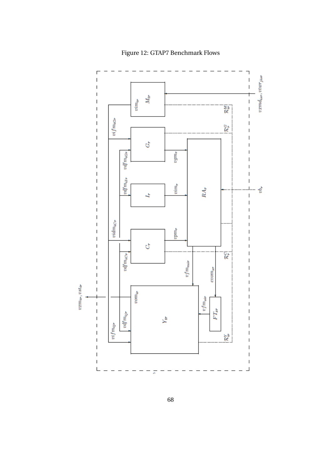

Figure 12: GTAP7 Benchmark Flows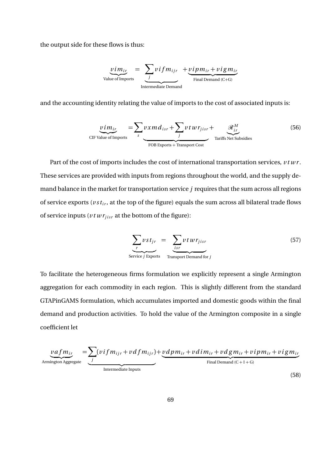the output side for these flows is thus:

$$
\underbrace{v \, i \, m_{ir}}_{\text{Value of Imports}} = \underbrace{\sum_{j} v \, i \, f \, m_{ijr}}_{\text{Internal Demand}} + \underbrace{v \, i \, p \, m_{ir} + v \, i \, g \, m_{ir}}_{\text{Final Demand (C+G)}}
$$

and the accounting identity relating the value of imports to the cost of associated inputs is:

$$
\underbrace{v \, i \, m_{ir}}_{\text{CIF Value of Imports}} = \sum_{s} v \, x \, m \, d_{isr} + \sum_{j} v \, t \, w \, r_{j \, isr} + \underbrace{\mathcal{R}_{ir}^{M}}_{\text{Tariffs Net Subsidies}}
$$
(56)

Part of the cost of imports includes the cost of international transportation services,  $v \, t \, w \, r$ . These services are provided with inputs from regions throughout the world, and the supply demand balance in the market for transportation service *j* requires that the sum across all regions of service exports ( $vst_{ir}$ , at the top of the figure) equals the sum across all bilateral trade flows of service inputs ( $vt \, wr_{j \, i \, s \, r}$  at the bottom of the figure):

$$
\sum_{r} vst_{jr} = \sum_{ir} vtwr_{jisr}
$$
\n
$$
\sum_{r} vst_{jr}
$$
\n
$$
\sum_{r} vtwr_{jisr}
$$
\n
$$
\sum_{r} vtv_{jisr}
$$
\n
$$
\sum_{r} vtv_{jisr}
$$
\n
$$
\sum_{r} vtv_{jisr}
$$
\n
$$
\sum_{r} vtv_{jisr}
$$
\n
$$
\sum_{r} vtv_{jisr}
$$
\n
$$
\sum_{r} vtv_{jisr}
$$
\n
$$
\sum_{r} vtv_{jisr}
$$
\n
$$
\sum_{r} vtv_{jisr}
$$
\n
$$
\sum_{r} vtv_{jisr}
$$
\n
$$
\sum_{r} vtv_{jisr}
$$
\n
$$
\sum_{r} vtv_{jisr}
$$
\n
$$
\sum_{r} vtv_{jisr}
$$
\n
$$
\sum_{r} vtv_{jisr}
$$
\n
$$
\sum_{r} vtv_{jisr}
$$
\n
$$
\sum_{r} vtv_{jisr}
$$
\n
$$
\sum_{r} vtv_{jisr}
$$
\n
$$
\sum_{r} vtv_{jisr}
$$
\n
$$
\sum_{r} vtv_{jisr}
$$
\n
$$
\sum_{r} vtv_{jisr}
$$
\n
$$
\sum_{r} vtv_{jisr}
$$
\n
$$
\sum_{r} vtv_{jisr}
$$
\n
$$
\sum_{r} vtv_{jisr}
$$
\n
$$
\sum_{r} vtv_{jisr}
$$
\n
$$
\sum_{r} vtv_{jisr}
$$
\n
$$
\sum_{r} vtv_{jisr}
$$
\n
$$
\sum_{r} vtv_{jisr}
$$
\n
$$
\sum_{r} vtv_{jisr}
$$
\n
$$
\sum_{r} vtv_{jisr}
$$
\n
$$
\sum_{r} vtv_{jisr}
$$
\n
$$
\sum_{r} vtv_{jisr}
$$
\n
$$
\sum_{r} vtv_{jisr}
$$
\n
$$
\sum_{r} vtv_{jisr}
$$
\n
$$
\sum_{r} vtv_{jisr}
$$
\n
$$
\sum_{r} vtv_{jisr}
$$
\n
$$
\sum_{r} vtv_{j
$$

To facilitate the heterogeneous firms formulation we explicitly represent a single Armington aggregation for each commodity in each region. This is slightly different from the standard GTAPinGAMS formulation, which accumulates imported and domestic goods within the final demand and production activities. To hold the value of the Armington composite in a single coefficient let

$$
\underbrace{vafm_{ir}}_{\text{Armington Aggregate}} = \underbrace{\sum_{j} (vifm_{ijr} + vdfm_{ijr}) + \underbrace{vdpm_{ir} + vdim_{ir} + vdgm_{ir} + vipm_{ir} + vigm_{ir}}_{\text{Final Demand (C+I+G)}}
$$
\n(58)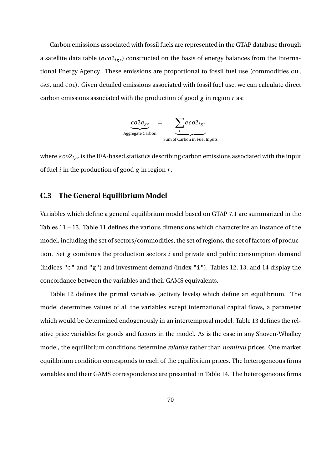Carbon emissions associated with fossil fuels are represented in the GTAP database through a satellite data table (*eco*2<sub>*igr*</sub>) constructed on the basis of energy balances from the International Energy Agency. These emissions are proportional to fossil fuel use (commodities OIL, GAS, and COL). Given detailed emissions associated with fossil fuel use, we can calculate direct carbon emissions associated with the production of good *g* in region *r* as:

$$
\underbrace{co2e_{gr}}_{\text{Aggregate Carbon}} = \underbrace{\sum_{i} eco2_{igr}}_{\text{Sum of Carbon in Feel Imputs}}
$$

where  $e\,co2_{igr}$  is the IEA-based statistics describing carbon emissions associated with the input of fuel *i* in the production of good *g* in region *r* .

#### **C.3 The General Equilibrium Model**

Variables which define a general equilibrium model based on GTAP 7.1 are summarized in the Tables 11 – 13. Table 11 defines the various dimensions which characterize an instance of the model, including the set of sectors/commodities, the set of regions, the set of factors of production. Set *g* combines the production sectors *i* and private and public consumption demand (indices "c" and "g") and investment demand (index "i"). Tables 12, 13, and 14 display the concordance between the variables and their GAMS equivalents.

Table 12 defines the primal variables (activity levels) which define an equilibrium. The model determines values of all the variables except international capital flows, a parameter which would be determined endogenously in an intertemporal model. Table 13 defines the relative price variables for goods and factors in the model. As is the case in any Shoven-Whalley model, the equilibrium conditions determine *relative* rather than *nominal* prices. One market equilibrium condition corresponds to each of the equilibrium prices. The heterogeneous firms variables and their GAMS correspondence are presented in Table 14. The heterogeneous firms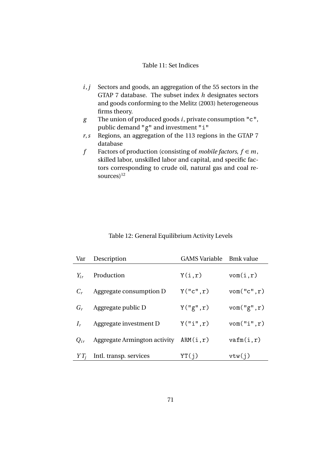#### Table 11: Set Indices

- *i*, *j* Sectors and goods, an aggregation of the 55 sectors in the GTAP 7 database. The subset index *h* designates sectors and goods conforming to the Melitz (2003) heterogeneous firms theory.
- *g* The union of produced goods *i*, private consumption "c", public demand "g" and investment "i"
- *r*,*s* Regions, an aggregation of the 113 regions in the GTAP 7 database
- *f* Factors of production (consisting of *mobile factors*,  $f \in m$ , skilled labor, unskilled labor and capital, and specific factors corresponding to crude oil, natural gas and coal resources $1^{12}$

#### Table 12: General Equilibrium Activity Levels

| Var      | Description                  | <b>GAMS</b> Variable | <b>Bmk</b> value  |
|----------|------------------------------|----------------------|-------------------|
| $Y_{ir}$ | Production                   | Y(i,r)               | vom(i,r)          |
| $C_r$    | Aggregate consumption D      | Y("c", r)            | $v$ om $("c", r)$ |
| $G_r$    | Aggregate public D           | Y("g", r)            | $v$ om $("g", r)$ |
| $I_r$    | Aggregate investment D       | Y("i", r)            | $v$ om $("i", r)$ |
| $Q_{ir}$ | Aggregate Armington activity | ARM(i,r)             | varm(i,r)         |
| $YT_i$   | Intl. transp. services       | YT(i)                | vtw(j)            |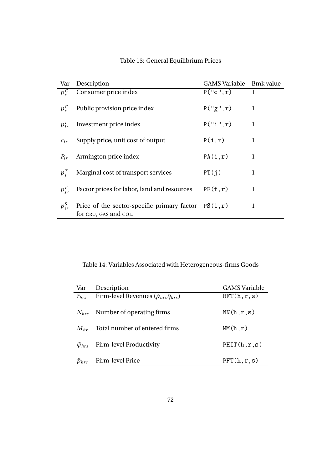| Var          | Description                                                                    | GAMS Variable Bmk value |              |
|--------------|--------------------------------------------------------------------------------|-------------------------|--------------|
| $p_{\tau}^C$ | Consumer price index                                                           | P("c", r)               | $\mathbf{1}$ |
| $p_r^G$      | Public provision price index                                                   | P("g", r)               | 1            |
| $p_{ir}^I$   | Investment price index                                                         | P("i", r)               | $\mathbf{1}$ |
| $c_{ir}$     | Supply price, unit cost of output                                              | P(i,r)                  | 1            |
| $P_{ir}$     | Armington price index                                                          | PA(i, r)                | 1            |
| $p_i^T$      | Marginal cost of transport services                                            | PT(i)                   | 1            |
| $p_{fr}^F$   | Factor prices for labor, land and resources                                    | PF(f,r)                 | 1            |
| $p_{ir}^S$   | Price of the sector-specific primary factor $PS(i,r)$<br>for CRU, GAS and COL. |                         | 1            |

# Table 13: General Equilibrium Prices

Table 14: Variables Associated with Heterogeneous-firms Goods

| Var                     | Description                                              | <b>GAMS</b> Variable |
|-------------------------|----------------------------------------------------------|----------------------|
| $\tilde{r}_{hrs}$       | Firm-level Revenues ( $\tilde{p}_{hrs}\tilde{q}_{hrs}$ ) | RFT(h,r,s)           |
| $N_{hrs}$               | Number of operating firms                                | NN(h,r,s)            |
| $M_{hr}$                | Total number of entered firms                            | MM(h,r)              |
| $\tilde{\varphi}_{hrs}$ | Firm-level Productivity                                  | PHIT(h,r,s)          |
| $\tilde{p}_{hrs}$       | Firm-level Price                                         | PFT(h,r,s)           |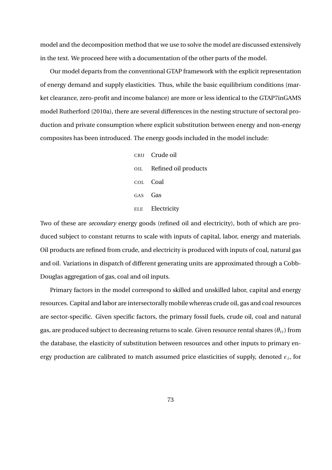model and the decomposition method that we use to solve the model are discussed extensively in the text. We proceed here with a documentation of the other parts of the model.

Our model departs from the conventional GTAP framework with the explicit representation of energy demand and supply elasticities. Thus, while the basic equilibrium conditions (market clearance, zero-profit and income balance) are more or less identical to the GTAP7inGAMS model Rutherford (2010a), there are several differences in the nesting structure of sectoral production and private consumption where explicit substitution between energy and non-energy composites has been introduced. The energy goods included in the model include:

> CRU Crude oil OIL Refined oil products COL Coal GAS Gas ELE Electricity

Two of these are *secondary* energy goods (refined oil and electricity), both of which are produced subject to constant returns to scale with inputs of capital, labor, energy and materials. Oil products are refined from crude, and electricity is produced with inputs of coal, natural gas and oil. Variations in dispatch of different generating units are approximated through a Cobb-Douglas aggregation of gas, coal and oil inputs.

Primary factors in the model correspond to skilled and unskilled labor, capital and energy resources. Capital and labor are intersectorally mobile whereas crude oil, gas and coal resources are sector-specific. Given specific factors, the primary fossil fuels, crude oil, coal and natural gas, are produced subject to decreasing returns to scale. Given resource rental shares  $(\theta_{ir})$  from the database, the elasticity of substitution between resources and other inputs to primary energy production are calibrated to match assumed price elasticities of supply, denoted *ε<sup>i</sup>* , for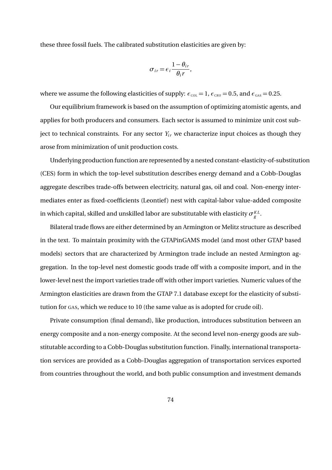these three fossil fuels. The calibrated substitution elasticities are given by:

$$
\sigma_{ir} = \epsilon_i \frac{1 - \theta_{ir}}{\theta_i r},
$$

where we assume the following elasticities of supply:  $\epsilon_{\text{col}} = 1$ ,  $\epsilon_{\text{cRU}} = 0.5$ , and  $\epsilon_{\text{GAS}} = 0.25$ .

Our equilibrium framework is based on the assumption of optimizing atomistic agents, and applies for both producers and consumers. Each sector is assumed to minimize unit cost subject to technical constraints. For any sector  $Y_i$  we characterize input choices as though they arose from minimization of unit production costs.

Underlying production function are represented by a nested constant-elasticity-of-substitution (CES) form in which the top-level substitution describes energy demand and a Cobb-Douglas aggregate describes trade-offs between electricity, natural gas, oil and coal. Non-energy intermediates enter as fixed-coefficients (Leontief) nest with capital-labor value-added composite in which capital, skilled and unskilled labor are substitutable with elasticity  $\sigma_{g}^{\scriptscriptstyle KL}$ .

Bilateral trade flows are either determined by an Armington or Melitz structure as described in the text. To maintain proximity with the GTAPinGAMS model (and most other GTAP based models) sectors that are characterized by Armington trade include an nested Armington aggregation. In the top-level nest domestic goods trade off with a composite import, and in the lower-level nest the import varieties trade off with other import varieties. Numeric values of the Armington elasticities are drawn from the GTAP 7.1 database except for the elasticity of substitution for GAS, which we reduce to 10 (the same value as is adopted for crude oil).

Private consumption (final demand), like production, introduces substitution between an energy composite and a non-energy composite. At the second level non-energy goods are substitutable according to a Cobb-Douglas substitution function. Finally, international transportation services are provided as a Cobb-Douglas aggregation of transportation services exported from countries throughout the world, and both public consumption and investment demands